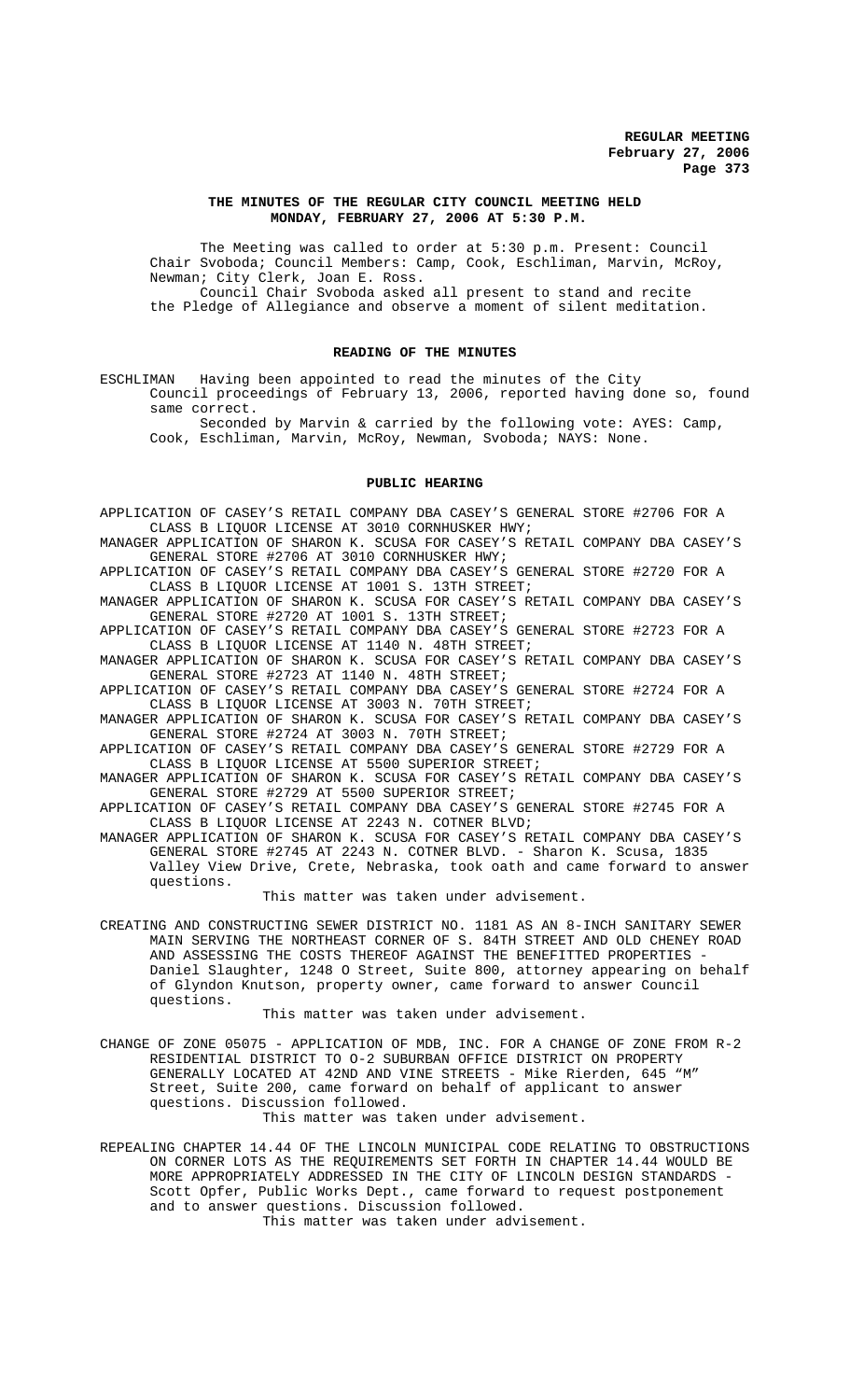#### **THE MINUTES OF THE REGULAR CITY COUNCIL MEETING HELD MONDAY, FEBRUARY 27, 2006 AT 5:30 P.M.**

The Meeting was called to order at 5:30 p.m. Present: Council Chair Svoboda; Council Members: Camp, Cook, Eschliman, Marvin, McRoy, Newman; City Clerk, Joan E. Ross. Council Chair Svoboda asked all present to stand and recite

the Pledge of Allegiance and observe a moment of silent meditation.

# **READING OF THE MINUTES**

ESCHLIMAN Having been appointed to read the minutes of the City Council proceedings of February 13, 2006, reported having done so, found same correct.

Seconded by Marvin & carried by the following vote: AYES: Camp, Cook, Eschliman, Marvin, McRoy, Newman, Svoboda; NAYS: None.

#### **PUBLIC HEARING**

APPLICATION OF CASEY'S RETAIL COMPANY DBA CASEY'S GENERAL STORE #2706 FOR A CLASS B LIQUOR LICENSE AT 3010 CORNHUSKER HWY;

MANAGER APPLICATION OF SHARON K. SCUSA FOR CASEY'S RETAIL COMPANY DBA CASEY'S GENERAL STORE #2706 AT 3010 CORNHUSKER HWY;

APPLICATION OF CASEY'S RETAIL COMPANY DBA CASEY'S GENERAL STORE #2720 FOR A CLASS B LIQUOR LICENSE AT 1001 S. 13TH STREET;

MANAGER APPLICATION OF SHARON K. SCUSA FOR CASEY'S RETAIL COMPANY DBA CASEY'S GENERAL STORE #2720 AT 1001 S. 13TH STREET;

APPLICATION OF CASEY'S RETAIL COMPANY DBA CASEY'S GENERAL STORE #2723 FOR A CLASS B LIQUOR LICENSE AT 1140 N. 48TH STREET;

MANAGER APPLICATION OF SHARON K. SCUSA FOR CASEY'S RETAIL COMPANY DBA CASEY'S GENERAL STORE #2723 AT 1140 N. 48TH STREET;

APPLICATION OF CASEY'S RETAIL COMPANY DBA CASEY'S GENERAL STORE #2724 FOR A CLASS B LIQUOR LICENSE AT 3003 N. 70TH STREET;

MANAGER APPLICATION OF SHARON K. SCUSA FOR CASEY'S RETAIL COMPANY DBA CASEY'S GENERAL STORE #2724 AT 3003 N. 70TH STREET;

APPLICATION OF CASEY'S RETAIL COMPANY DBA CASEY'S GENERAL STORE #2729 FOR A CLASS B LIQUOR LICENSE AT 5500 SUPERIOR STREET;

MANAGER APPLICATION OF SHARON K. SCUSA FOR CASEY'S RETAIL COMPANY DBA CASEY'S GENERAL STORE #2729 AT 5500 SUPERIOR STREET;

APPLICATION OF CASEY'S RETAIL COMPANY DBA CASEY'S GENERAL STORE #2745 FOR A CLASS B LIQUOR LICENSE AT 2243 N. COTNER BLVD;

MANAGER APPLICATION OF SHARON K. SCUSA FOR CASEY'S RETAIL COMPANY DBA CASEY'S GENERAL STORE #2745 AT 2243 N. COTNER BLVD. - Sharon K. Scusa, 1835 Valley View Drive, Crete, Nebraska, took oath and came forward to answer questions.

This matter was taken under advisement.

CREATING AND CONSTRUCTING SEWER DISTRICT NO. 1181 AS AN 8-INCH SANITARY SEWER MAIN SERVING THE NORTHEAST CORNER OF S. 84TH STREET AND OLD CHENEY ROAD AND ASSESSING THE COSTS THEREOF AGAINST THE BENEFITTED PROPERTIES - Daniel Slaughter, 1248 O Street, Suite 800, attorney appearing on behalf of Glyndon Knutson, property owner, came forward to answer Council questions.

This matter was taken under advisement.

CHANGE OF ZONE 05075 - APPLICATION OF MDB, INC. FOR A CHANGE OF ZONE FROM R-2 RESIDENTIAL DISTRICT TO O-2 SUBURBAN OFFICE DISTRICT ON PROPERTY GENERALLY LOCATED AT 42ND AND VINE STREETS - Mike Rierden, 645 "M" Street, Suite 200, came forward on behalf of applicant to answer questions. Discussion followed.

This matter was taken under advisement.

REPEALING CHAPTER 14.44 OF THE LINCOLN MUNICIPAL CODE RELATING TO OBSTRUCTIONS ON CORNER LOTS AS THE REQUIREMENTS SET FORTH IN CHAPTER 14.44 WOULD BE MORE APPROPRIATELY ADDRESSED IN THE CITY OF LINCOLN DESIGN STANDARDS -Scott Opfer, Public Works Dept., came forward to request postponement and to answer questions. Discussion followed.

This matter was taken under advisement.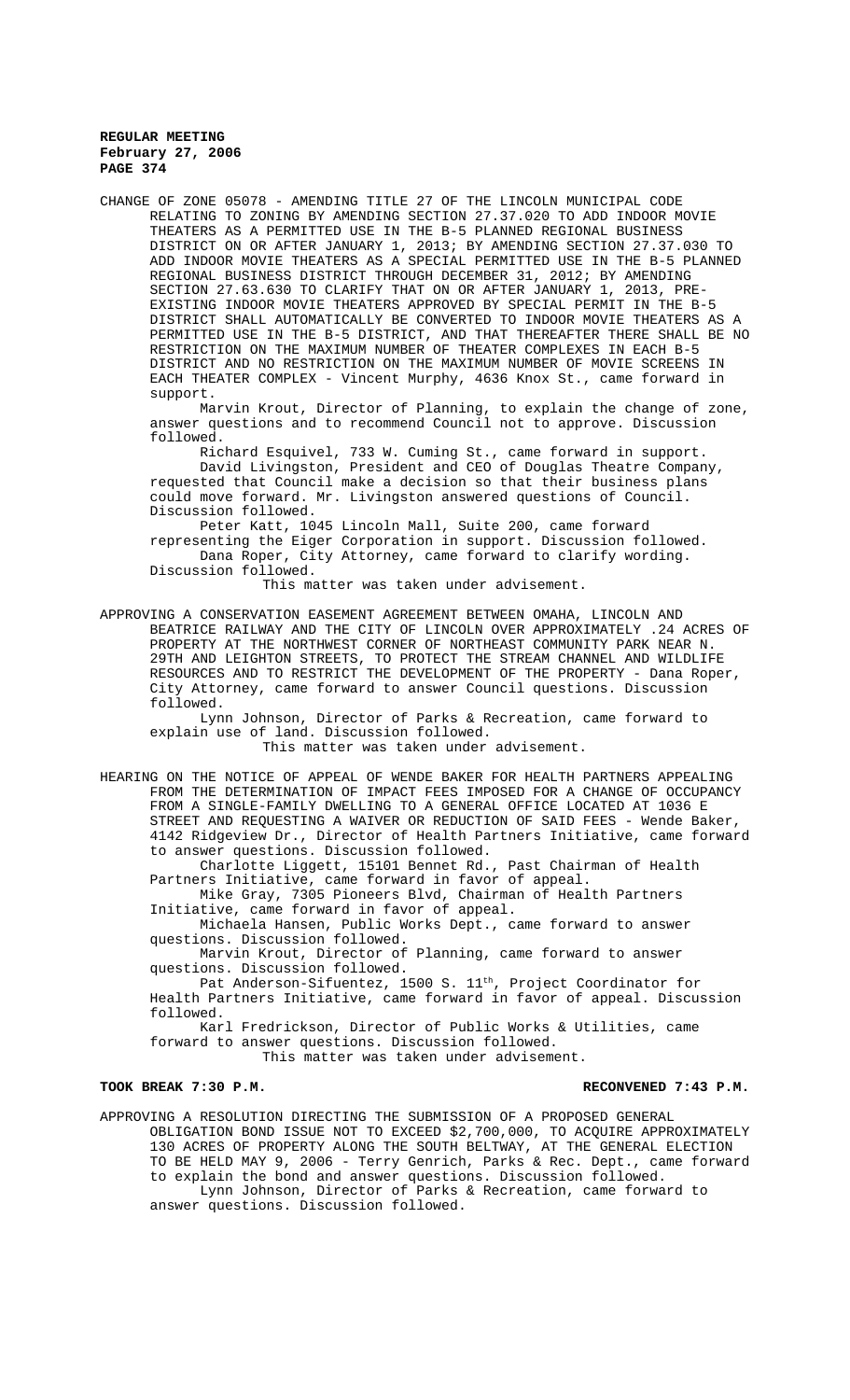CHANGE OF ZONE 05078 - AMENDING TITLE 27 OF THE LINCOLN MUNICIPAL CODE RELATING TO ZONING BY AMENDING SECTION 27.37.020 TO ADD INDOOR MOVIE THEATERS AS A PERMITTED USE IN THE B-5 PLANNED REGIONAL BUSINESS DISTRICT ON OR AFTER JANUARY 1, 2013; BY AMENDING SECTION 27.37.030 TO ADD INDOOR MOVIE THEATERS AS A SPECIAL PERMITTED USE IN THE B-5 PLANNED REGIONAL BUSINESS DISTRICT THROUGH DECEMBER 31, 2012; BY AMENDING SECTION 27.63.630 TO CLARIFY THAT ON OR AFTER JANUARY 1, 2013, PRE-EXISTING INDOOR MOVIE THEATERS APPROVED BY SPECIAL PERMIT IN THE B-5 DISTRICT SHALL AUTOMATICALLY BE CONVERTED TO INDOOR MOVIE THEATERS AS A PERMITTED USE IN THE B-5 DISTRICT, AND THAT THEREAFTER THERE SHALL BE NO RESTRICTION ON THE MAXIMUM NUMBER OF THEATER COMPLEXES IN EACH B-5 DISTRICT AND NO RESTRICTION ON THE MAXIMUM NUMBER OF MOVIE SCREENS IN EACH THEATER COMPLEX - Vincent Murphy, 4636 Knox St., came forward in support.

Marvin Krout, Director of Planning, to explain the change of zone, answer questions and to recommend Council not to approve. Discussion followed.

Richard Esquivel, 733 W. Cuming St., came forward in support. David Livingston, President and CEO of Douglas Theatre Company, requested that Council make a decision so that their business plans could move forward. Mr. Livingston answered questions of Council. Discussion followed.

Peter Katt, 1045 Lincoln Mall, Suite 200, came forward representing the Eiger Corporation in support. Discussion followed. Dana Roper, City Attorney, came forward to clarify wording. Discussion followed.

This matter was taken under advisement.

APPROVING A CONSERVATION EASEMENT AGREEMENT BETWEEN OMAHA, LINCOLN AND BEATRICE RAILWAY AND THE CITY OF LINCOLN OVER APPROXIMATELY .24 ACRES OF PROPERTY AT THE NORTHWEST CORNER OF NORTHEAST COMMUNITY PARK NEAR N. 29TH AND LEIGHTON STREETS, TO PROTECT THE STREAM CHANNEL AND WILDLIFE RESOURCES AND TO RESTRICT THE DEVELOPMENT OF THE PROPERTY - Dana Roper, City Attorney, came forward to answer Council questions. Discussion followed.

Lynn Johnson, Director of Parks & Recreation, came forward to explain use of land. Discussion followed.

This matter was taken under advisement.

HEARING ON THE NOTICE OF APPEAL OF WENDE BAKER FOR HEALTH PARTNERS APPEALING FROM THE DETERMINATION OF IMPACT FEES IMPOSED FOR A CHANGE OF OCCUPANCY FROM A SINGLE-FAMILY DWELLING TO A GENERAL OFFICE LOCATED AT 1036 E STREET AND REQUESTING A WAIVER OR REDUCTION OF SAID FEES - Wende Baker, 4142 Ridgeview Dr., Director of Health Partners Initiative, came forward to answer questions. Discussion followed.

Charlotte Liggett, 15101 Bennet Rd., Past Chairman of Health Partners Initiative, came forward in favor of appeal.

Mike Gray, 7305 Pioneers Blvd, Chairman of Health Partners Initiative, came forward in favor of appeal.

Michaela Hansen, Public Works Dept., came forward to answer questions. Discussion followed.

Marvin Krout, Director of Planning, came forward to answer questions. Discussion followed.

Pat Anderson-Sifuentez, 1500 S. 11<sup>th</sup>, Project Coordinator for Health Partners Initiative, came forward in favor of appeal. Discussion followed.

Karl Fredrickson, Director of Public Works & Utilities, came forward to answer questions. Discussion followed. This matter was taken under advisement.

# TOOK BREAK 7:30 P.M. **RECONVENED 7:43 P.M.** RECONVENED 7:43 P.M.

APPROVING A RESOLUTION DIRECTING THE SUBMISSION OF A PROPOSED GENERAL OBLIGATION BOND ISSUE NOT TO EXCEED \$2,700,000, TO ACQUIRE APPROXIMATELY 130 ACRES OF PROPERTY ALONG THE SOUTH BELTWAY, AT THE GENERAL ELECTION TO BE HELD MAY 9, 2006 - Terry Genrich, Parks & Rec. Dept., came forward to explain the bond and answer questions. Discussion followed. Lynn Johnson, Director of Parks & Recreation, came forward to answer questions. Discussion followed.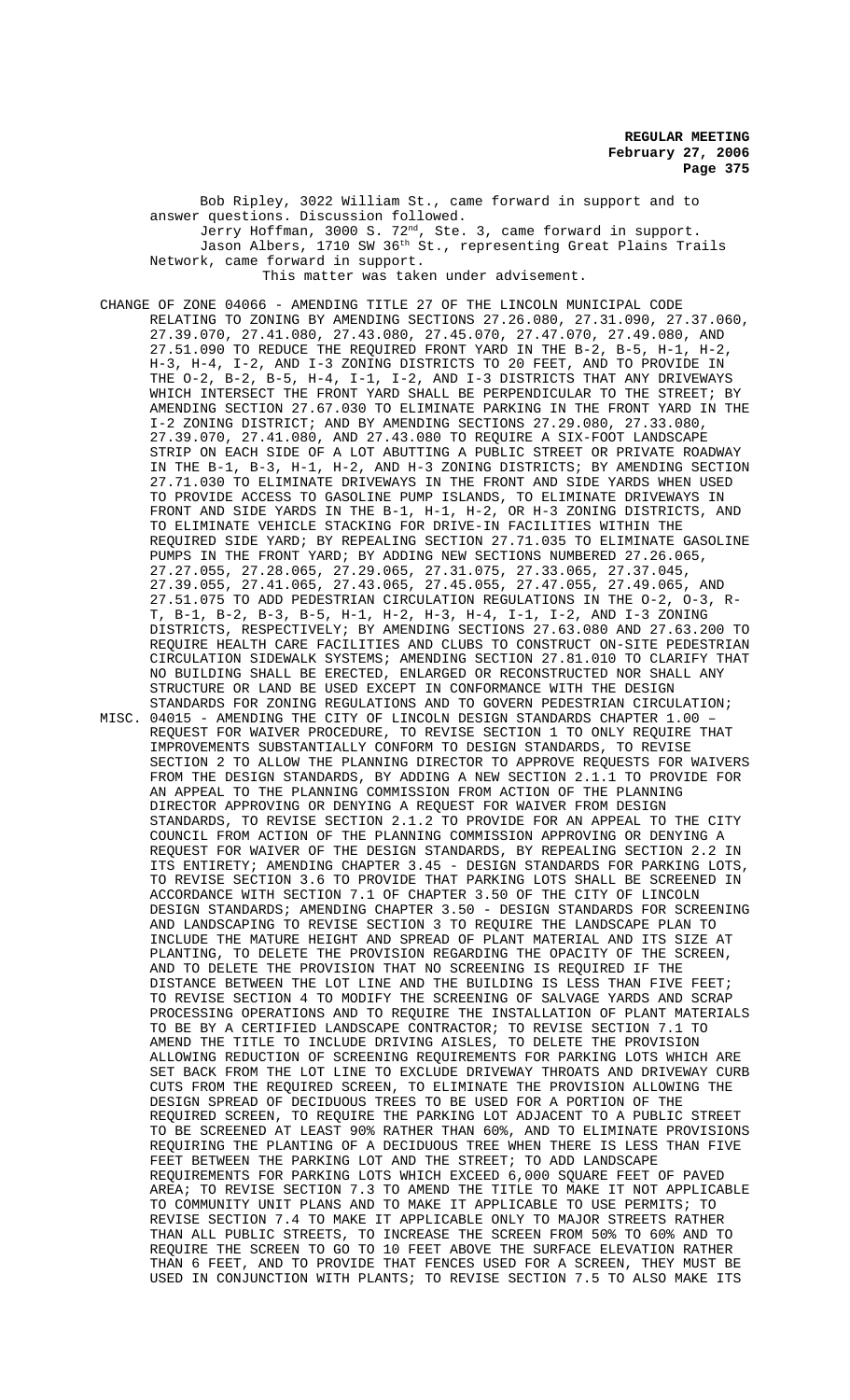Bob Ripley, 3022 William St., came forward in support and to answer questions. Discussion followed. Jerry Hoffman, 3000 S. 72<sup>nd</sup>, Ste. 3, came forward in support. Jason Albers, 1710 SW 36th St., representing Great Plains Trails Network, came forward in support. This matter was taken under advisement.

CHANGE OF ZONE 04066 - AMENDING TITLE 27 OF THE LINCOLN MUNICIPAL CODE RELATING TO ZONING BY AMENDING SECTIONS 27.26.080, 27.31.090, 27.37.060, 27.39.070, 27.41.080, 27.43.080, 27.45.070, 27.47.070, 27.49.080, AND 27.51.090 TO REDUCE THE REQUIRED FRONT YARD IN THE B-2, B-5, H-1, H-2, H-3, H-4, I-2, AND I-3 ZONING DISTRICTS TO 20 FEET, AND TO PROVIDE IN THE O-2, B-2, B-5, H-4, I-1, I-2, AND I-3 DISTRICTS THAT ANY DRIVEWAYS WHICH INTERSECT THE FRONT YARD SHALL BE PERPENDICULAR TO THE STREET; BY AMENDING SECTION 27.67.030 TO ELIMINATE PARKING IN THE FRONT YARD IN THE I-2 ZONING DISTRICT; AND BY AMENDING SECTIONS 27.29.080, 27.33.080, 27.39.070, 27.41.080, AND 27.43.080 TO REQUIRE A SIX-FOOT LANDSCAPE STRIP ON EACH SIDE OF A LOT ABUTTING A PUBLIC STREET OR PRIVATE ROADWAY IN THE B-1, B-3, H-1, H-2, AND H-3 ZONING DISTRICTS; BY AMENDING SECTION 27.71.030 TO ELIMINATE DRIVEWAYS IN THE FRONT AND SIDE YARDS WHEN USED TO PROVIDE ACCESS TO GASOLINE PUMP ISLANDS, TO ELIMINATE DRIVEWAYS IN FRONT AND SIDE YARDS IN THE B-1, H-1, H-2, OR H-3 ZONING DISTRICTS, AND TO ELIMINATE VEHICLE STACKING FOR DRIVE-IN FACILITIES WITHIN THE REQUIRED SIDE YARD; BY REPEALING SECTION 27.71.035 TO ELIMINATE GASOLINE PUMPS IN THE FRONT YARD; BY ADDING NEW SECTIONS NUMBERED 27.26.065, 27.27.055, 27.28.065, 27.29.065, 27.31.075, 27.33.065, 27.37.045, 27.39.055, 27.41.065, 27.43.065, 27.45.055, 27.47.055, 27.49.065, AND 27.51.075 TO ADD PEDESTRIAN CIRCULATION REGULATIONS IN THE O-2, O-3, R-T, B-1, B-2, B-3, B-5, H-1, H-2, H-3, H-4, I-1, I-2, AND I-3 ZONING DISTRICTS, RESPECTIVELY; BY AMENDING SECTIONS 27.63.080 AND 27.63.200 TO REQUIRE HEALTH CARE FACILITIES AND CLUBS TO CONSTRUCT ON-SITE PEDESTRIAN CIRCULATION SIDEWALK SYSTEMS; AMENDING SECTION 27.81.010 TO CLARIFY THAT NO BUILDING SHALL BE ERECTED, ENLARGED OR RECONSTRUCTED NOR SHALL ANY STRUCTURE OR LAND BE USED EXCEPT IN CONFORMANCE WITH THE DESIGN STANDARDS FOR ZONING REGULATIONS AND TO GOVERN PEDESTRIAN CIRCULATION; MISC. 04015 - AMENDING THE CITY OF LINCOLN DESIGN STANDARDS CHAPTER 1.00 – REQUEST FOR WAIVER PROCEDURE, TO REVISE SECTION 1 TO ONLY REQUIRE THAT IMPROVEMENTS SUBSTANTIALLY CONFORM TO DESIGN STANDARDS, TO REVISE SECTION 2 TO ALLOW THE PLANNING DIRECTOR TO APPROVE REQUESTS FOR WAIVERS FROM THE DESIGN STANDARDS, BY ADDING A NEW SECTION 2.1.1 TO PROVIDE FOR AN APPEAL TO THE PLANNING COMMISSION FROM ACTION OF THE PLANNING DIRECTOR APPROVING OR DENYING A REQUEST FOR WAIVER FROM DESIGN STANDARDS, TO REVISE SECTION 2.1.2 TO PROVIDE FOR AN APPEAL TO THE CITY COUNCIL FROM ACTION OF THE PLANNING COMMISSION APPROVING OR DENYING A REQUEST FOR WAIVER OF THE DESIGN STANDARDS, BY REPEALING SECTION 2.2 IN ITS ENTIRETY; AMENDING CHAPTER 3.45 - DESIGN STANDARDS FOR PARKING LOTS, TO REVISE SECTION 3.6 TO PROVIDE THAT PARKING LOTS SHALL BE SCREENED IN ACCORDANCE WITH SECTION 7.1 OF CHAPTER 3.50 OF THE CITY OF LINCOLN DESIGN STANDARDS; AMENDING CHAPTER 3.50 - DESIGN STANDARDS FOR SCREENING AND LANDSCAPING TO REVISE SECTION 3 TO REQUIRE THE LANDSCAPE PLAN TO INCLUDE THE MATURE HEIGHT AND SPREAD OF PLANT MATERIAL AND ITS SIZE AT PLANTING, TO DELETE THE PROVISION REGARDING THE OPACITY OF THE SCREEN, AND TO DELETE THE PROVISION THAT NO SCREENING IS REQUIRED IF THE DISTANCE BETWEEN THE LOT LINE AND THE BUILDING IS LESS THAN FIVE FEET; TO REVISE SECTION 4 TO MODIFY THE SCREENING OF SALVAGE YARDS AND SCRAP PROCESSING OPERATIONS AND TO REQUIRE THE INSTALLATION OF PLANT MATERIALS TO BE BY A CERTIFIED LANDSCAPE CONTRACTOR; TO REVISE SECTION 7.1 TO AMEND THE TITLE TO INCLUDE DRIVING AISLES, TO DELETE THE PROVISION ALLOWING REDUCTION OF SCREENING REQUIREMENTS FOR PARKING LOTS WHICH ARE SET BACK FROM THE LOT LINE TO EXCLUDE DRIVEWAY THROATS AND DRIVEWAY CURB CUTS FROM THE REQUIRED SCREEN, TO ELIMINATE THE PROVISION ALLOWING THE DESIGN SPREAD OF DECIDUOUS TREES TO BE USED FOR A PORTION OF THE REQUIRED SCREEN, TO REQUIRE THE PARKING LOT ADJACENT TO A PUBLIC STREET

REQUIRING THE PLANTING OF A DECIDUOUS TREE WHEN THERE IS LESS THAN FIVE FEET BETWEEN THE PARKING LOT AND THE STREET; TO ADD LANDSCAPE REQUIREMENTS FOR PARKING LOTS WHICH EXCEED 6,000 SQUARE FEET OF PAVED AREA; TO REVISE SECTION 7.3 TO AMEND THE TITLE TO MAKE IT NOT APPLICABLE TO COMMUNITY UNIT PLANS AND TO MAKE IT APPLICABLE TO USE PERMITS; TO REVISE SECTION 7.4 TO MAKE IT APPLICABLE ONLY TO MAJOR STREETS RATHER THAN ALL PUBLIC STREETS, TO INCREASE THE SCREEN FROM 50% TO 60% AND TO REQUIRE THE SCREEN TO GO TO 10 FEET ABOVE THE SURFACE ELEVATION RATHER THAN 6 FEET, AND TO PROVIDE THAT FENCES USED FOR A SCREEN, THEY MUST BE USED IN CONJUNCTION WITH PLANTS; TO REVISE SECTION 7.5 TO ALSO MAKE ITS

TO BE SCREENED AT LEAST 90% RATHER THAN 60%, AND TO ELIMINATE PROVISIONS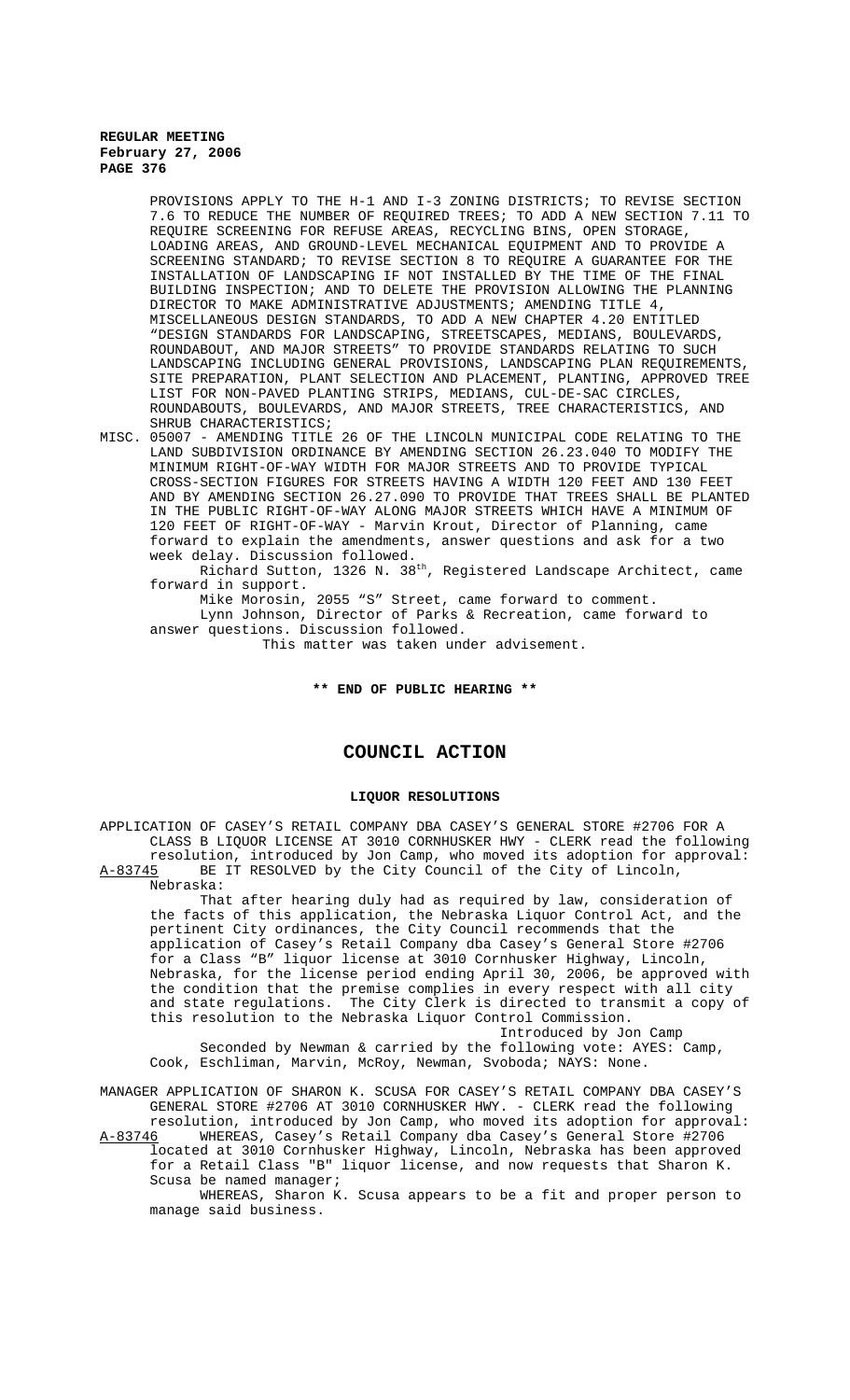PROVISIONS APPLY TO THE H-1 AND I-3 ZONING DISTRICTS; TO REVISE SECTION 7.6 TO REDUCE THE NUMBER OF REQUIRED TREES; TO ADD A NEW SECTION 7.11 TO REQUIRE SCREENING FOR REFUSE AREAS, RECYCLING BINS, OPEN STORAGE, LOADING AREAS, AND GROUND-LEVEL MECHANICAL EQUIPMENT AND TO PROVIDE A SCREENING STANDARD; TO REVISE SECTION 8 TO REQUIRE A GUARANTEE FOR THE INSTALLATION OF LANDSCAPING IF NOT INSTALLED BY THE TIME OF THE FINAL BUILDING INSPECTION; AND TO DELETE THE PROVISION ALLOWING THE PLANNING DIRECTOR TO MAKE ADMINISTRATIVE ADJUSTMENTS; AMENDING TITLE 4, MISCELLANEOUS DESIGN STANDARDS, TO ADD A NEW CHAPTER 4.20 ENTITLED "DESIGN STANDARDS FOR LANDSCAPING, STREETSCAPES, MEDIANS, BOULEVARDS, ROUNDABOUT, AND MAJOR STREETS" TO PROVIDE STANDARDS RELATING TO SUCH LANDSCAPING INCLUDING GENERAL PROVISIONS, LANDSCAPING PLAN REQUIREMENTS, SITE PREPARATION, PLANT SELECTION AND PLACEMENT, PLANTING, APPROVED TREE LIST FOR NON-PAVED PLANTING STRIPS, MEDIANS, CUL-DE-SAC CIRCLES, ROUNDABOUTS, BOULEVARDS, AND MAJOR STREETS, TREE CHARACTERISTICS, AND SHRUB CHARACTERISTICS;

MISC. 05007 - AMENDING TITLE 26 OF THE LINCOLN MUNICIPAL CODE RELATING TO THE LAND SUBDIVISION ORDINANCE BY AMENDING SECTION 26.23.040 TO MODIFY THE MINIMUM RIGHT-OF-WAY WIDTH FOR MAJOR STREETS AND TO PROVIDE TYPICAL CROSS-SECTION FIGURES FOR STREETS HAVING A WIDTH 120 FEET AND 130 FEET AND BY AMENDING SECTION 26.27.090 TO PROVIDE THAT TREES SHALL BE PLANTED IN THE PUBLIC RIGHT-OF-WAY ALONG MAJOR STREETS WHICH HAVE A MINIMUM OF 120 FEET OF RIGHT-OF-WAY - Marvin Krout, Director of Planning, came forward to explain the amendments, answer questions and ask for a two week delay. Discussion followed.

Richard Sutton, 1326 N. 38th, Registered Landscape Architect, came forward in support.

Mike Morosin, 2055 "S" Street, came forward to comment.

Lynn Johnson, Director of Parks & Recreation, came forward to answer questions. Discussion followed.

This matter was taken under advisement.

#### **\*\* END OF PUBLIC HEARING \*\***

# **COUNCIL ACTION**

#### **LIQUOR RESOLUTIONS**

APPLICATION OF CASEY'S RETAIL COMPANY DBA CASEY'S GENERAL STORE #2706 FOR A CLASS B LIQUOR LICENSE AT 3010 CORNHUSKER HWY - CLERK read the following resolution, introduced by Jon Camp, who moved its adoption for approval: A-83745 BE IT RESOLVED by the City Council of the City of Lincoln, Nebraska:

That after hearing duly had as required by law, consideration of the facts of this application, the Nebraska Liquor Control Act, and the pertinent City ordinances, the City Council recommends that the application of Casey's Retail Company dba Casey's General Store #2706 for a Class "B" liquor license at 3010 Cornhusker Highway, Lincoln, Nebraska, for the license period ending April 30, 2006, be approved with the condition that the premise complies in every respect with all city and state regulations. The City Clerk is directed to transmit a copy of this resolution to the Nebraska Liquor Control Commission.

Introduced by Jon Camp

Seconded by Newman & carried by the following vote: AYES: Camp, Cook, Eschliman, Marvin, McRoy, Newman, Svoboda; NAYS: None.

MANAGER APPLICATION OF SHARON K. SCUSA FOR CASEY'S RETAIL COMPANY DBA CASEY'S GENERAL STORE #2706 AT 3010 CORNHUSKER HWY. - CLERK read the following resolution, introduced by Jon Camp, who moved its adoption for approval: A-83746 WHEREAS, Casey's Retail Company dba Casey's General Store #2706

located at 3010 Cornhusker Highway, Lincoln, Nebraska has been approved for a Retail Class "B" liquor license, and now requests that Sharon K. Scusa be named manager;

WHEREAS, Sharon K. Scusa appears to be a fit and proper person to manage said business.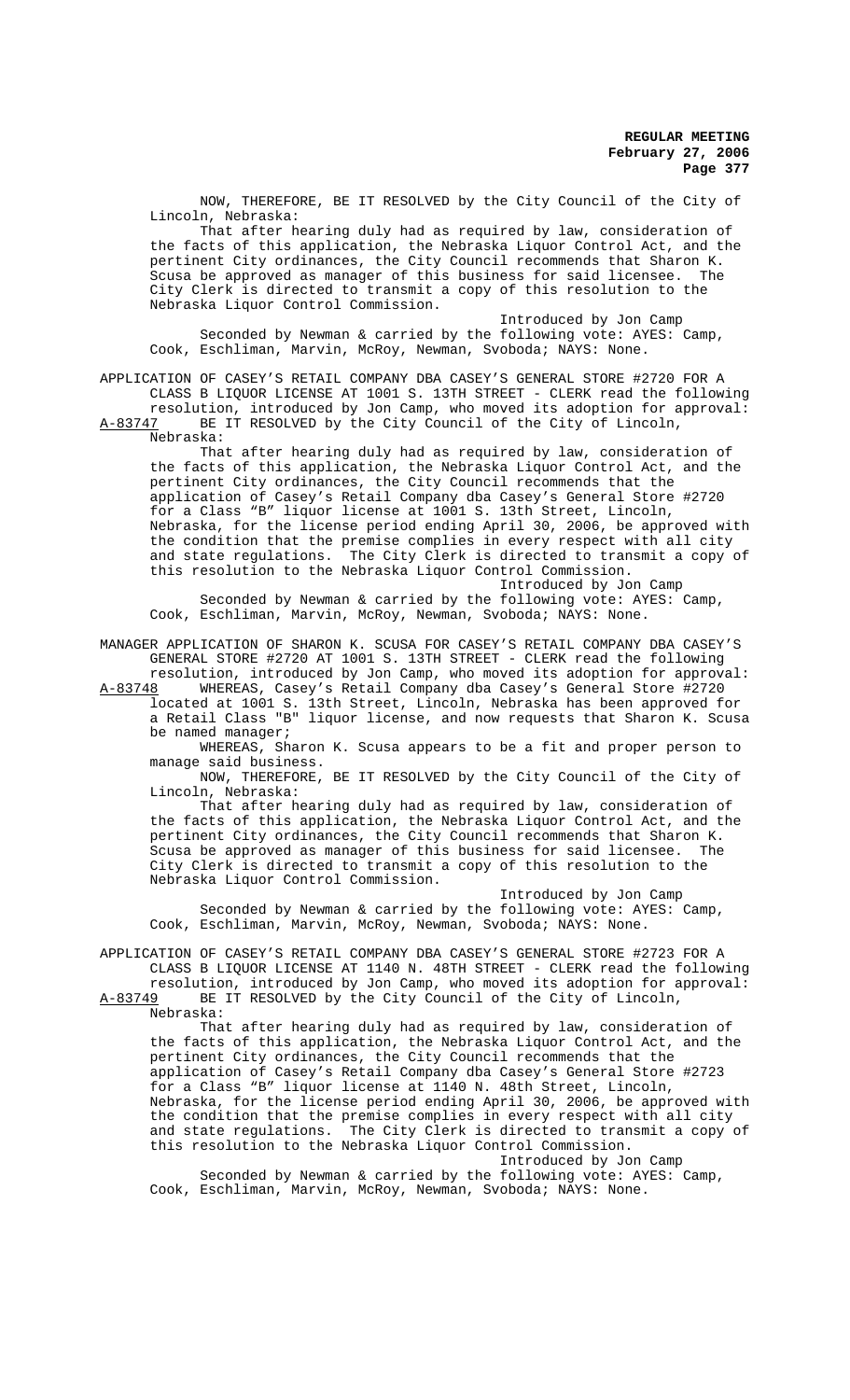NOW, THEREFORE, BE IT RESOLVED by the City Council of the City of Lincoln, Nebraska:

That after hearing duly had as required by law, consideration of the facts of this application, the Nebraska Liquor Control Act, and the pertinent City ordinances, the City Council recommends that Sharon K.<br>Scusa be approved as manager of this business for said licensee. The Scusa be approved as manager of this business for said licensee. City Clerk is directed to transmit a copy of this resolution to the Nebraska Liquor Control Commission.

Introduced by Jon Camp Seconded by Newman & carried by the following vote: AYES: Camp, Cook, Eschliman, Marvin, McRoy, Newman, Svoboda; NAYS: None.

APPLICATION OF CASEY'S RETAIL COMPANY DBA CASEY'S GENERAL STORE #2720 FOR A CLASS B LIQUOR LICENSE AT 1001 S. 13TH STREET - CLERK read the following resolution, introduced by Jon Camp, who moved its adoption for approval:

A-83747 BE IT RESOLVED by the City Council of the City of Lincoln, Nebraska:

That after hearing duly had as required by law, consideration of the facts of this application, the Nebraska Liquor Control Act, and the pertinent City ordinances, the City Council recommends that the application of Casey's Retail Company dba Casey's General Store #2720 for a Class "B" liquor license at 1001 S. 13th Street, Lincoln, Nebraska, for the license period ending April 30, 2006, be approved with the condition that the premise complies in every respect with all city and state regulations. The City Clerk is directed to transmit a copy of this resolution to the Nebraska Liquor Control Commission.

Introduced by Jon Camp Seconded by Newman & carried by the following vote: AYES: Camp, Cook, Eschliman, Marvin, McRoy, Newman, Svoboda; NAYS: None.

MANAGER APPLICATION OF SHARON K. SCUSA FOR CASEY'S RETAIL COMPANY DBA CASEY'S GENERAL STORE #2720 AT 1001 S. 13TH STREET - CLERK read the following

resolution, introduced by Jon Camp, who moved its adoption for approval: A-83748 WHEREAS, Casey's Retail Company dba Casey's General Store #2720 located at 1001 S. 13th Street, Lincoln, Nebraska has been approved for a Retail Class "B" liquor license, and now requests that Sharon K. Scusa be named manager;

WHEREAS, Sharon K. Scusa appears to be a fit and proper person to manage said business.

NOW, THEREFORE, BE IT RESOLVED by the City Council of the City of Lincoln, Nebraska:

That after hearing duly had as required by law, consideration of the facts of this application, the Nebraska Liquor Control Act, and the pertinent City ordinances, the City Council recommends that Sharon K.<br>Scusa be approved as manager of this business for said licensee. The Scusa be approved as manager of this business for said licensee. City Clerk is directed to transmit a copy of this resolution to the Nebraska Liquor Control Commission.

Introduced by Jon Camp Seconded by Newman & carried by the following vote: AYES: Camp, Cook, Eschliman, Marvin, McRoy, Newman, Svoboda; NAYS: None.

APPLICATION OF CASEY'S RETAIL COMPANY DBA CASEY'S GENERAL STORE #2723 FOR A CLASS B LIQUOR LICENSE AT 1140 N. 48TH STREET - CLERK read the following resolution, introduced by Jon Camp, who moved its adoption for approval:<br>A-83749 BE IT RESOLVED by the City Council of the City of Lincoln,

BE IT RESOLVED by the City Council of the City of Lincoln, Nebraska:

That after hearing duly had as required by law, consideration of the facts of this application, the Nebraska Liquor Control Act, and the pertinent City ordinances, the City Council recommends that the application of Casey's Retail Company dba Casey's General Store #2723 for a Class "B" liquor license at 1140 N. 48th Street, Lincoln, Nebraska, for the license period ending April 30, 2006, be approved with the condition that the premise complies in every respect with all city and state regulations. The City Clerk is directed to transmit a copy of this resolution to the Nebraska Liquor Control Commission. Introduced by Jon Camp

Seconded by Newman & carried by the following vote: AYES: Camp, Cook, Eschliman, Marvin, McRoy, Newman, Svoboda; NAYS: None.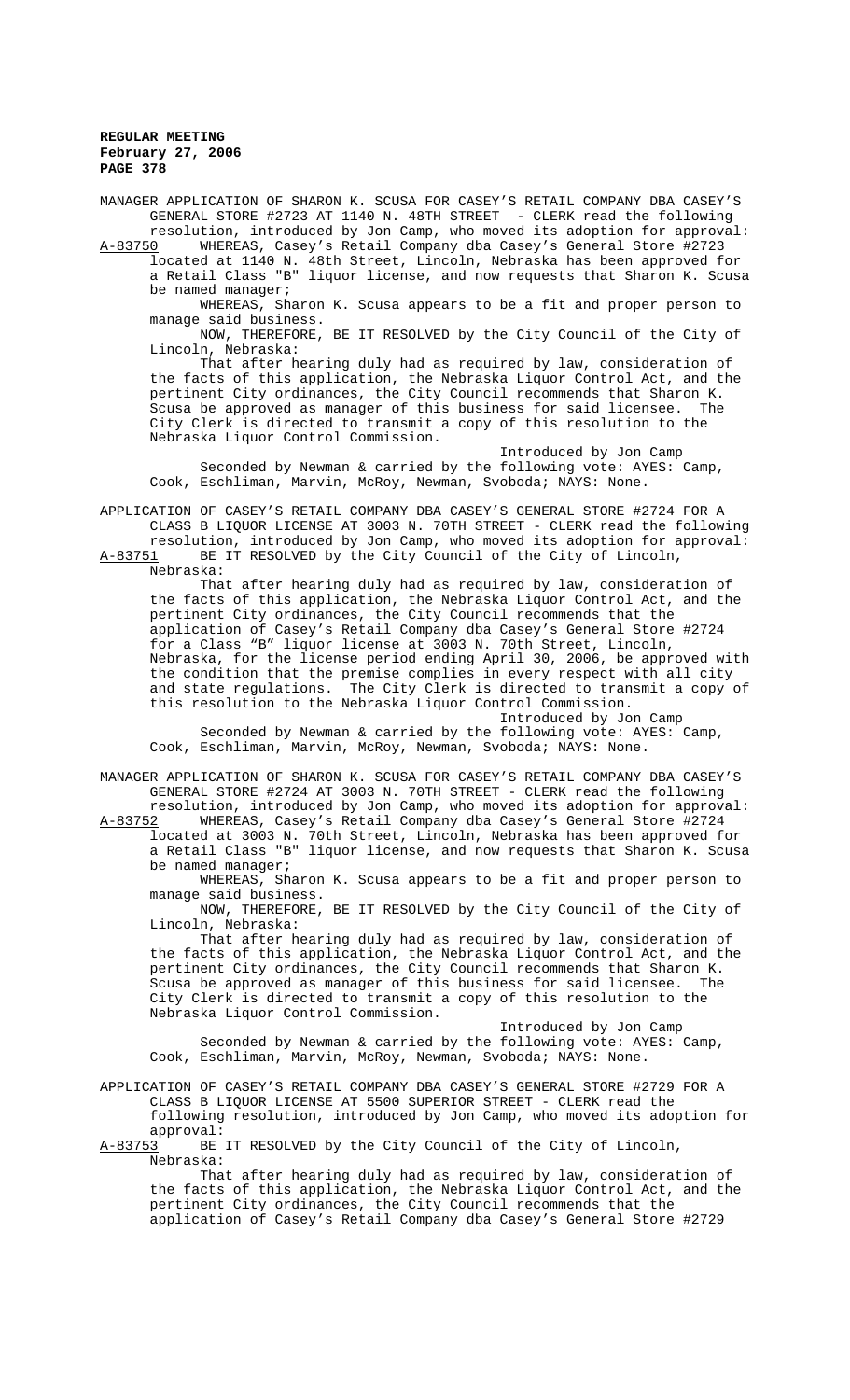MANAGER APPLICATION OF SHARON K. SCUSA FOR CASEY'S RETAIL COMPANY DBA CASEY'S GENERAL STORE #2723 AT 1140 N. 48TH STREET - CLERK read the following resolution, introduced by Jon Camp, who moved its adoption for approval:

A-83750 WHEREAS, Casey's Retail Company dba Casey's General Store #2723 located at 1140 N. 48th Street, Lincoln, Nebraska has been approved for a Retail Class "B" liquor license, and now requests that Sharon K. Scusa be named manager;

WHEREAS, Sharon K. Scusa appears to be a fit and proper person to manage said business.

NOW, THEREFORE, BE IT RESOLVED by the City Council of the City of Lincoln, Nebraska:

That after hearing duly had as required by law, consideration of the facts of this application, the Nebraska Liquor Control Act, and the pertinent City ordinances, the City Council recommends that Sharon K. Scusa be approved as manager of this business for said licensee. The City Clerk is directed to transmit a copy of this resolution to the Nebraska Liquor Control Commission.

Introduced by Jon Camp Seconded by Newman & carried by the following vote: AYES: Camp, Cook, Eschliman, Marvin, McRoy, Newman, Svoboda; NAYS: None.

APPLICATION OF CASEY'S RETAIL COMPANY DBA CASEY'S GENERAL STORE #2724 FOR A CLASS B LIQUOR LICENSE AT 3003 N. 70TH STREET - CLERK read the following resolution, introduced by Jon Camp, who moved its adoption for approval: A-83751 BE IT RESOLVED by the City Council of the City of Lincoln,

Nebraska:

That after hearing duly had as required by law, consideration of the facts of this application, the Nebraska Liquor Control Act, and the pertinent City ordinances, the City Council recommends that the application of Casey's Retail Company dba Casey's General Store #2724 for a Class "B" liquor license at 3003 N. 70th Street, Lincoln, Nebraska, for the license period ending April 30, 2006, be approved with the condition that the premise complies in every respect with all city and state regulations. The City Clerk is directed to transmit a copy of this resolution to the Nebraska Liquor Control Commission.

Introduced by Jon Camp Seconded by Newman & carried by the following vote: AYES: Camp, Cook, Eschliman, Marvin, McRoy, Newman, Svoboda; NAYS: None.

MANAGER APPLICATION OF SHARON K. SCUSA FOR CASEY'S RETAIL COMPANY DBA CASEY'S GENERAL STORE #2724 AT 3003 N. 70TH STREET - CLERK read the following

resolution, introduced by Jon Camp, who moved its adoption for approval:<br>A-83752 WHEREAS, Casey's Retail Company dba Casey's General Store #2724 WHEREAS, Casey's Retail Company dba Casey's General Store #2724 located at 3003 N. 70th Street, Lincoln, Nebraska has been approved for a Retail Class "B" liquor license, and now requests that Sharon K. Scusa be named manager;

WHEREAS, Sharon K. Scusa appears to be a fit and proper person to manage said business.

NOW, THEREFORE, BE IT RESOLVED by the City Council of the City of Lincoln, Nebraska:

That after hearing duly had as required by law, consideration of the facts of this application, the Nebraska Liquor Control Act, and the pertinent City ordinances, the City Council recommends that Sharon K.<br>Scusa be approved as manager of this business for said licensee. The Scusa be approved as manager of this business for said licensee. City Clerk is directed to transmit a copy of this resolution to the Nebraska Liquor Control Commission.

Introduced by Jon Camp

Seconded by Newman & carried by the following vote: AYES: Camp, Cook, Eschliman, Marvin, McRoy, Newman, Svoboda; NAYS: None.

# APPLICATION OF CASEY'S RETAIL COMPANY DBA CASEY'S GENERAL STORE #2729 FOR A CLASS B LIQUOR LICENSE AT 5500 SUPERIOR STREET - CLERK read the following resolution, introduced by Jon Camp, who moved its adoption for approval:<br><u>A-83753</u> BE

BE IT RESOLVED by the City Council of the City of Lincoln, Nebraska:

That after hearing duly had as required by law, consideration of the facts of this application, the Nebraska Liquor Control Act, and the pertinent City ordinances, the City Council recommends that the application of Casey's Retail Company dba Casey's General Store #2729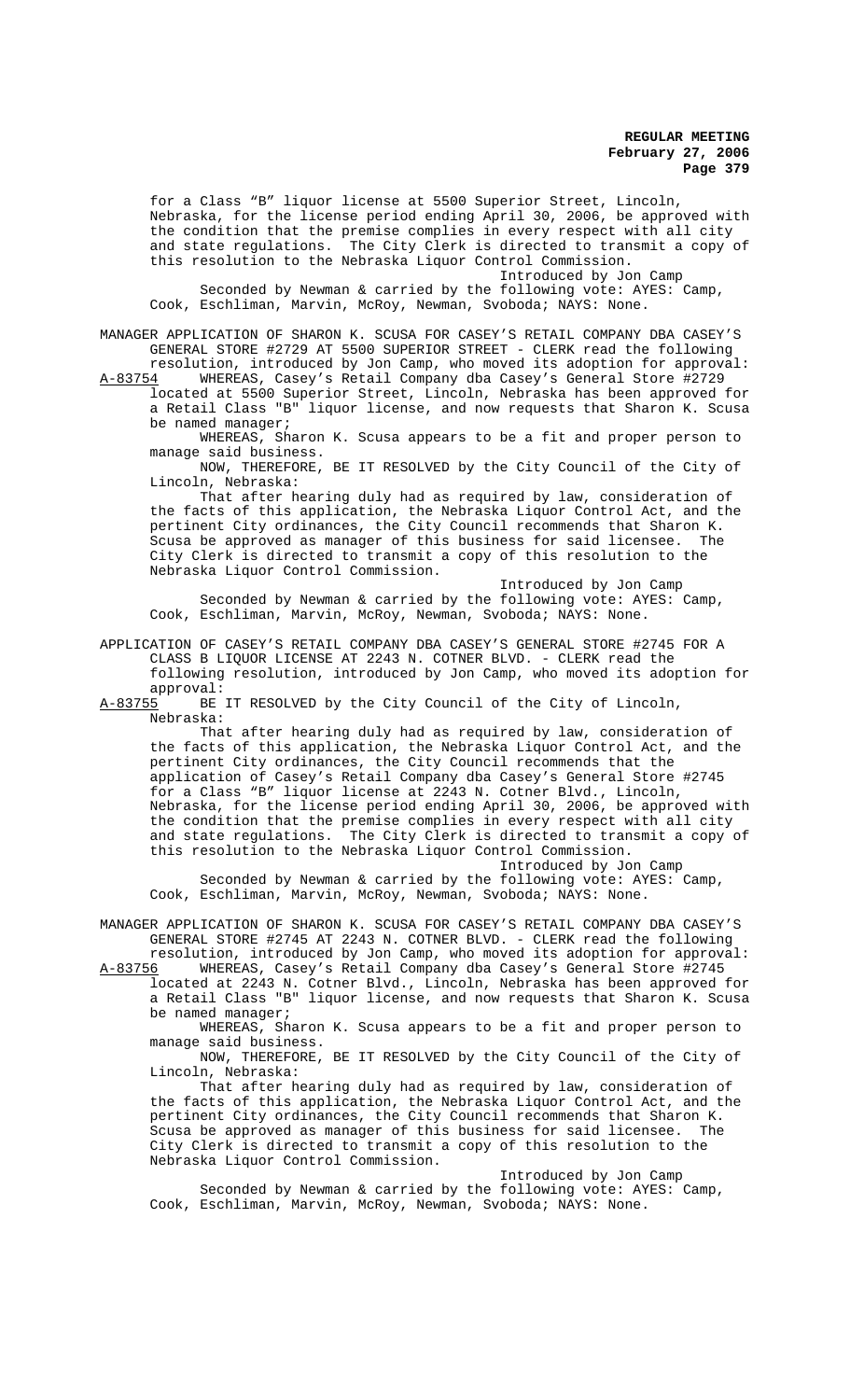for a Class "B" liquor license at 5500 Superior Street, Lincoln, Nebraska, for the license period ending April 30, 2006, be approved with the condition that the premise complies in every respect with all city and state regulations. The City Clerk is directed to transmit a copy of this resolution to the Nebraska Liquor Control Commission. Introduced by Jon Camp

Seconded by Newman & carried by the following vote: AYES: Camp, Cook, Eschliman, Marvin, McRoy, Newman, Svoboda; NAYS: None.

MANAGER APPLICATION OF SHARON K. SCUSA FOR CASEY'S RETAIL COMPANY DBA CASEY'S GENERAL STORE #2729 AT 5500 SUPERIOR STREET - CLERK read the following resolution, introduced by Jon Camp, who moved its adoption for approval:

A-83754 WHEREAS, Casey's Retail Company dba Casey's General Store #2729 located at 5500 Superior Street, Lincoln, Nebraska has been approved for a Retail Class "B" liquor license, and now requests that Sharon K. Scusa be named manager;

WHEREAS, Sharon K. Scusa appears to be a fit and proper person to manage said business.

NOW, THEREFORE, BE IT RESOLVED by the City Council of the City of Lincoln, Nebraska:

That after hearing duly had as required by law, consideration of the facts of this application, the Nebraska Liquor Control Act, and the pertinent City ordinances, the City Council recommends that Sharon K. Scusa be approved as manager of this business for said licensee. City Clerk is directed to transmit a copy of this resolution to the Nebraska Liquor Control Commission.

Introduced by Jon Camp Seconded by Newman & carried by the following vote: AYES: Camp, Cook, Eschliman, Marvin, McRoy, Newman, Svoboda; NAYS: None.

APPLICATION OF CASEY'S RETAIL COMPANY DBA CASEY'S GENERAL STORE #2745 FOR A CLASS B LIQUOR LICENSE AT 2243 N. COTNER BLVD. - CLERK read the following resolution, introduced by Jon Camp, who moved its adoption for

approval:<br><u>A-83755</u> BE BE IT RESOLVED by the City Council of the City of Lincoln, Nebraska:

That after hearing duly had as required by law, consideration of the facts of this application, the Nebraska Liquor Control Act, and the pertinent City ordinances, the City Council recommends that the application of Casey's Retail Company dba Casey's General Store #2745 for a Class "B" liquor license at 2243 N. Cotner Blvd., Lincoln, Nebraska, for the license period ending April 30, 2006, be approved with the condition that the premise complies in every respect with all city and state regulations. The City Clerk is directed to transmit a copy of this resolution to the Nebraska Liquor Control Commission. Introduced by Jon Camp

Seconded by Newman & carried by the following vote: AYES: Camp, Cook, Eschliman, Marvin, McRoy, Newman, Svoboda; NAYS: None.

MANAGER APPLICATION OF SHARON K. SCUSA FOR CASEY'S RETAIL COMPANY DBA CASEY'S GENERAL STORE #2745 AT 2243 N. COTNER BLVD. - CLERK read the following resolution, introduced by Jon Camp, who moved its adoption for approval:

A-83756 WHEREAS, Casey's Retail Company dba Casey's General Store #2745 located at 2243 N. Cotner Blvd., Lincoln, Nebraska has been approved for a Retail Class "B" liquor license, and now requests that Sharon K. Scusa be named manager;

WHEREAS, Sharon K. Scusa appears to be a fit and proper person to manage said business.

NOW, THEREFORE, BE IT RESOLVED by the City Council of the City of Lincoln, Nebraska:

That after hearing duly had as required by law, consideration of the facts of this application, the Nebraska Liquor Control Act, and the pertinent City ordinances, the City Council recommends that Sharon K.<br>Scusa be approved as manager of this business for said licensee. The Scusa be approved as manager of this business for said licensee. City Clerk is directed to transmit a copy of this resolution to the Nebraska Liquor Control Commission.

Introduced by Jon Camp Seconded by Newman & carried by the following vote: AYES: Camp, Cook, Eschliman, Marvin, McRoy, Newman, Svoboda; NAYS: None.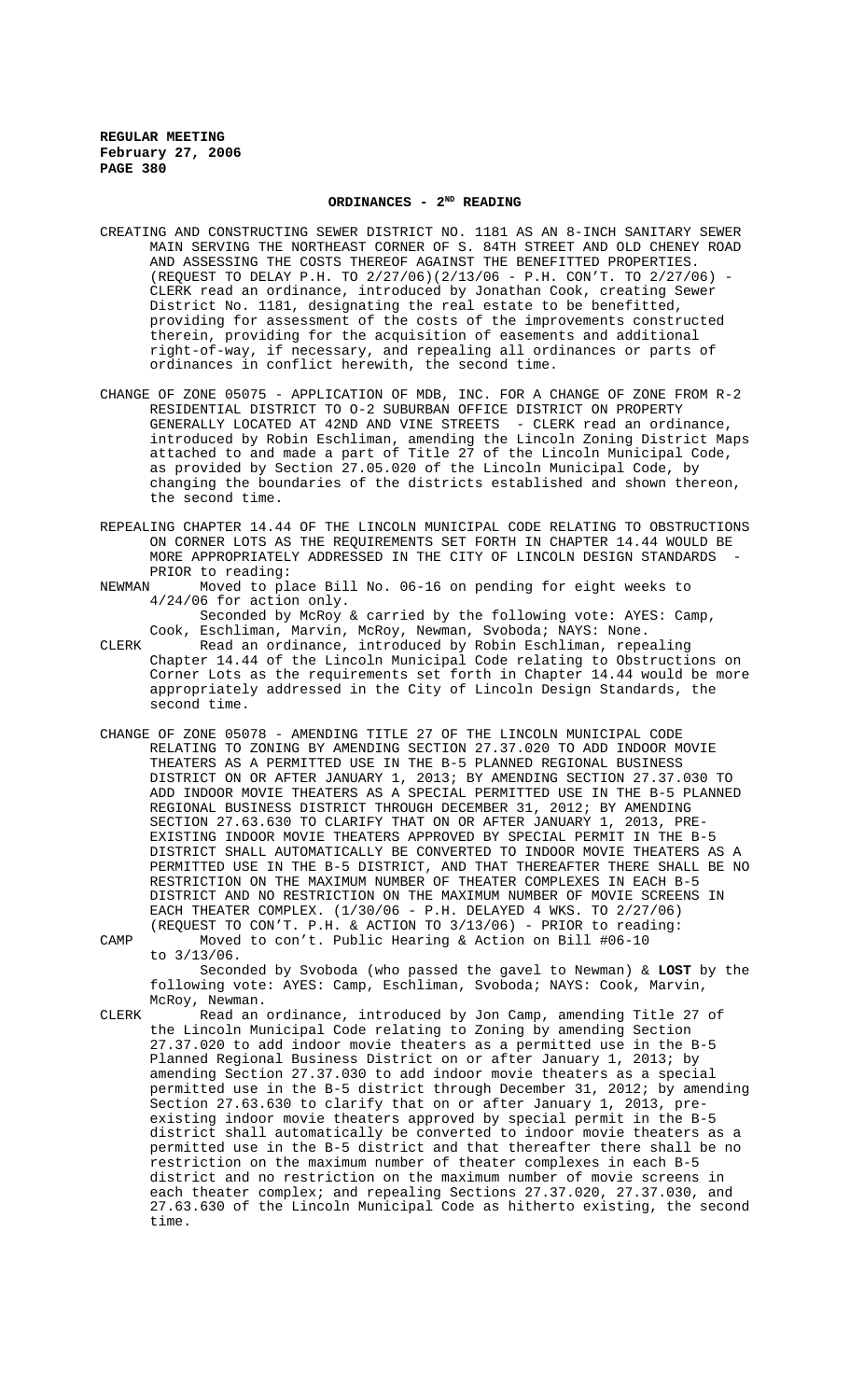# ORDINANCES - 2<sup>ND</sup> READING

- CREATING AND CONSTRUCTING SEWER DISTRICT NO. 1181 AS AN 8-INCH SANITARY SEWER MAIN SERVING THE NORTHEAST CORNER OF S. 84TH STREET AND OLD CHENEY ROAD AND ASSESSING THE COSTS THEREOF AGAINST THE BENEFITTED PROPERTIES. (REQUEST TO DELAY P.H. TO 2/27/06)(2/13/06 - P.H. CON'T. TO 2/27/06) - CLERK read an ordinance, introduced by Jonathan Cook, creating Sewer District No. 1181, designating the real estate to be benefitted, providing for assessment of the costs of the improvements constructed therein, providing for the acquisition of easements and additional right-of-way, if necessary, and repealing all ordinances or parts of ordinances in conflict herewith, the second time.
- CHANGE OF ZONE 05075 APPLICATION OF MDB, INC. FOR A CHANGE OF ZONE FROM R-2 RESIDENTIAL DISTRICT TO O-2 SUBURBAN OFFICE DISTRICT ON PROPERTY GENERALLY LOCATED AT 42ND AND VINE STREETS - CLERK read an ordinance, introduced by Robin Eschliman, amending the Lincoln Zoning District Maps attached to and made a part of Title 27 of the Lincoln Municipal Code, as provided by Section 27.05.020 of the Lincoln Municipal Code, by changing the boundaries of the districts established and shown thereon, the second time.
- REPEALING CHAPTER 14.44 OF THE LINCOLN MUNICIPAL CODE RELATING TO OBSTRUCTIONS ON CORNER LOTS AS THE REQUIREMENTS SET FORTH IN CHAPTER 14.44 WOULD BE MORE APPROPRIATELY ADDRESSED IN THE CITY OF LINCOLN DESIGN STANDARDS PRIOR to reading:<br>NEWMAN Moved to pl
- Moved to place Bill No. 06-16 on pending for eight weeks to 4/24/06 for action only.

Seconded by McRoy & carried by the following vote: AYES: Camp, Cook, Eschliman, Marvin, McRoy, Newman, Svoboda; NAYS: None.

- CLERK Read an ordinance, introduced by Robin Eschliman, repealing Chapter 14.44 of the Lincoln Municipal Code relating to Obstructions on Corner Lots as the requirements set forth in Chapter 14.44 would be more appropriately addressed in the City of Lincoln Design Standards, the second time.
- CHANGE OF ZONE 05078 AMENDING TITLE 27 OF THE LINCOLN MUNICIPAL CODE RELATING TO ZONING BY AMENDING SECTION 27.37.020 TO ADD INDOOR MOVIE THEATERS AS A PERMITTED USE IN THE B-5 PLANNED REGIONAL BUSINESS DISTRICT ON OR AFTER JANUARY 1, 2013; BY AMENDING SECTION 27.37.030 TO ADD INDOOR MOVIE THEATERS AS A SPECIAL PERMITTED USE IN THE B-5 PLANNED REGIONAL BUSINESS DISTRICT THROUGH DECEMBER 31, 2012; BY AMENDING SECTION 27.63.630 TO CLARIFY THAT ON OR AFTER JANUARY 1, 2013, PRE-EXISTING INDOOR MOVIE THEATERS APPROVED BY SPECIAL PERMIT IN THE B-5 DISTRICT SHALL AUTOMATICALLY BE CONVERTED TO INDOOR MOVIE THEATERS AS A PERMITTED USE IN THE B-5 DISTRICT, AND THAT THEREAFTER THERE SHALL BE NO RESTRICTION ON THE MAXIMUM NUMBER OF THEATER COMPLEXES IN EACH B-5 DISTRICT AND NO RESTRICTION ON THE MAXIMUM NUMBER OF MOVIE SCREENS IN EACH THEATER COMPLEX. (1/30/06 - P.H. DELAYED 4 WKS. TO 2/27/06) (REQUEST TO CON'T. P.H. & ACTION TO 3/13/06) - PRIOR to reading: CAMP Moved to con't. Public Hearing & Action on Bill #06-10
- to 3/13/06.

Seconded by Svoboda (who passed the gavel to Newman) & **LOST** by the following vote: AYES: Camp, Eschliman, Svoboda; NAYS: Cook, Marvin, McRoy, Newman.

CLERK Read an ordinance, introduced by Jon Camp, amending Title 27 of the Lincoln Municipal Code relating to Zoning by amending Section 27.37.020 to add indoor movie theaters as a permitted use in the B-5 Planned Regional Business District on or after January 1, 2013; by amending Section 27.37.030 to add indoor movie theaters as a special permitted use in the B-5 district through December 31, 2012; by amending Section 27.63.630 to clarify that on or after January 1, 2013, preexisting indoor movie theaters approved by special permit in the B-5 district shall automatically be converted to indoor movie theaters as a permitted use in the B-5 district and that thereafter there shall be no restriction on the maximum number of theater complexes in each B-5 district and no restriction on the maximum number of movie screens in each theater complex; and repealing Sections 27.37.020, 27.37.030, and 27.63.630 of the Lincoln Municipal Code as hitherto existing, the second time.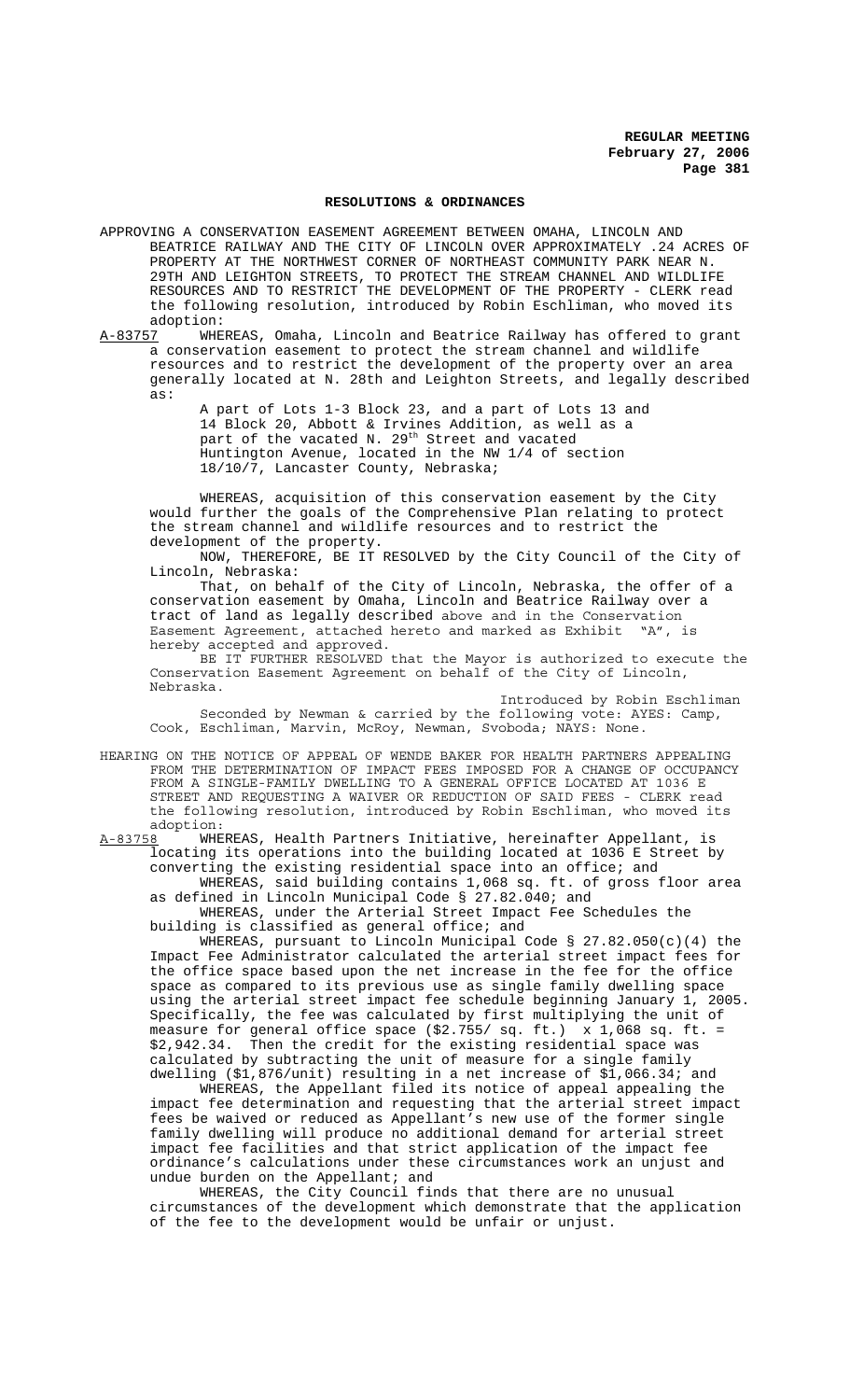#### **RESOLUTIONS & ORDINANCES**

APPROVING A CONSERVATION EASEMENT AGREEMENT BETWEEN OMAHA, LINCOLN AND BEATRICE RAILWAY AND THE CITY OF LINCOLN OVER APPROXIMATELY .24 ACRES OF PROPERTY AT THE NORTHWEST CORNER OF NORTHEAST COMMUNITY PARK NEAR N. 29TH AND LEIGHTON STREETS, TO PROTECT THE STREAM CHANNEL AND WILDLIFE RESOURCES AND TO RESTRICT THE DEVELOPMENT OF THE PROPERTY - CLERK read the following resolution, introduced by Robin Eschliman, who moved its

adoption:<br>A-83757 WHE WHEREAS, Omaha, Lincoln and Beatrice Railway has offered to grant a conservation easement to protect the stream channel and wildlife resources and to restrict the development of the property over an area generally located at N. 28th and Leighton Streets, and legally described as:

A part of Lots 1-3 Block 23, and a part of Lots 13 and 14 Block 20, Abbott & Irvines Addition, as well as a part of the vacated N. 29<sup>th</sup> Street and vacated Huntington Avenue, located in the NW 1/4 of section 18/10/7, Lancaster County, Nebraska;

WHEREAS, acquisition of this conservation easement by the City would further the goals of the Comprehensive Plan relating to protect the stream channel and wildlife resources and to restrict the development of the property.

NOW, THEREFORE, BE IT RESOLVED by the City Council of the City of Lincoln, Nebraska:

That, on behalf of the City of Lincoln, Nebraska, the offer of a conservation easement by Omaha, Lincoln and Beatrice Railway over a tract of land as legally described above and in the Conservation Easement Agreement, attached hereto and marked as Exhibit "A", is hereby accepted and approved.

BE IT FURTHER RESOLVED that the Mayor is authorized to execute the Conservation Easement Agreement on behalf of the City of Lincoln, Nebraska.

Introduced by Robin Eschliman Seconded by Newman & carried by the following vote: AYES: Camp, Cook, Eschliman, Marvin, McRoy, Newman, Svoboda; NAYS: None.

HEARING ON THE NOTICE OF APPEAL OF WENDE BAKER FOR HEALTH PARTNERS APPEALING FROM THE DETERMINATION OF IMPACT FEES IMPOSED FOR A CHANGE OF OCCUPANCY FROM A SINGLE-FAMILY DWELLING TO A GENERAL OFFICE LOCATED AT 1036 E STREET AND REQUESTING A WAIVER OR REDUCTION OF SAID FEES - CLERK read the following resolution, introduced by Robin Eschliman, who moved its

adoption:<br>A-83758 WHE WHEREAS, Health Partners Initiative, hereinafter Appellant, is locating its operations into the building located at 1036 E Street by converting the existing residential space into an office; and

WHEREAS, said building contains 1,068 sq. ft. of gross floor area as defined in Lincoln Municipal Code § 27.82.040; and

WHEREAS, under the Arterial Street Impact Fee Schedules the building is classified as general office; and

WHEREAS, pursuant to Lincoln Municipal Code §  $27.82.050(c)(4)$  the Impact Fee Administrator calculated the arterial street impact fees for the office space based upon the net increase in the fee for the office space as compared to its previous use as single family dwelling space using the arterial street impact fee schedule beginning January 1, 2005. Specifically, the fee was calculated by first multiplying the unit of measure for general office space (\$2.755/ sq. ft.) x 1,068 sq. ft. = \$2,942.34. Then the credit for the existing residential space was calculated by subtracting the unit of measure for a single family dwelling (\$1,876/unit) resulting in a net increase of \$1,066.34; and

WHEREAS, the Appellant filed its notice of appeal appealing the impact fee determination and requesting that the arterial street impact fees be waived or reduced as Appellant's new use of the former single family dwelling will produce no additional demand for arterial street impact fee facilities and that strict application of the impact fee ordinance's calculations under these circumstances work an unjust and undue burden on the Appellant; and

WHEREAS, the City Council finds that there are no unusual circumstances of the development which demonstrate that the application of the fee to the development would be unfair or unjust.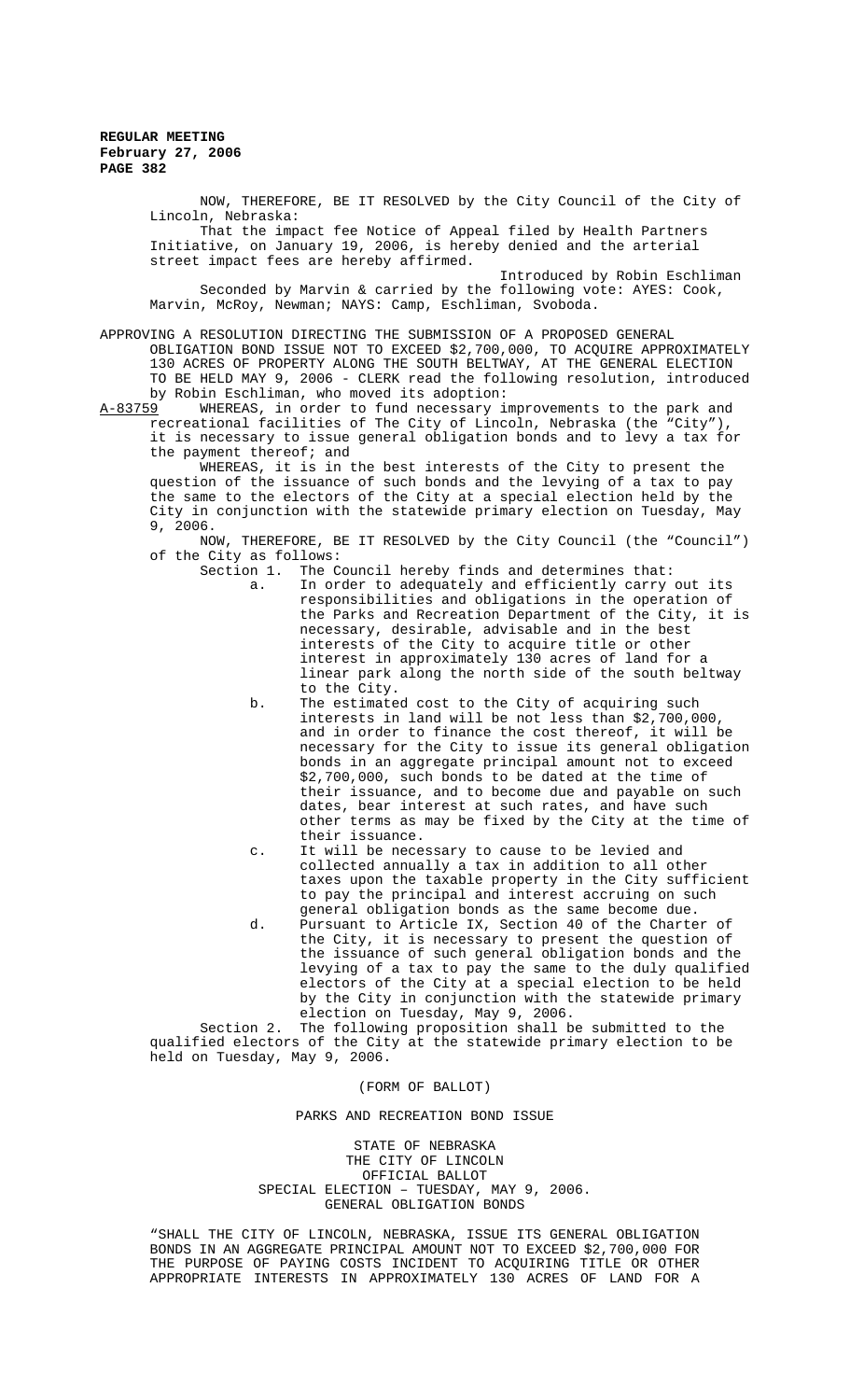NOW, THEREFORE, BE IT RESOLVED by the City Council of the City of Lincoln, Nebraska: That the impact fee Notice of Appeal filed by Health Partners

Initiative, on January 19, 2006, is hereby denied and the arterial street impact fees are hereby affirmed.

Introduced by Robin Eschliman Seconded by Marvin & carried by the following vote: AYES: Cook, Marvin, McRoy, Newman; NAYS: Camp, Eschliman, Svoboda.

APPROVING A RESOLUTION DIRECTING THE SUBMISSION OF A PROPOSED GENERAL OBLIGATION BOND ISSUE NOT TO EXCEED \$2,700,000, TO ACQUIRE APPROXIMATELY 130 ACRES OF PROPERTY ALONG THE SOUTH BELTWAY, AT THE GENERAL ELECTION TO BE HELD MAY 9, 2006 - CLERK read the following resolution, introduced by Robin Eschliman, who moved its adoption:<br>A-83759 WHEREAS, in order to fund necessary in

WHEREAS, in order to fund necessary improvements to the park and recreational facilities of The City of Lincoln, Nebraska (the "City"), it is necessary to issue general obligation bonds and to levy a tax for the payment thereof; and

WHEREAS, it is in the best interests of the City to present the question of the issuance of such bonds and the levying of a tax to pay the same to the electors of the City at a special election held by the City in conjunction with the statewide primary election on Tuesday, May 9, 2006.

NOW, THEREFORE, BE IT RESOLVED by the City Council (the "Council") of the City as follows:

- The Council hereby finds and determines that: a. In order to adequately and efficiently carry out its responsibilities and obligations in the operation of the Parks and Recreation Department of the City, it is necessary, desirable, advisable and in the best interests of the City to acquire title or other interest in approximately 130 acres of land for a linear park along the north side of the south beltway to the City.
- b. The estimated cost to the City of acquiring such interests in land will be not less than \$2,700,000, and in order to finance the cost thereof, it will be necessary for the City to issue its general obligation bonds in an aggregate principal amount not to exceed \$2,700,000, such bonds to be dated at the time of their issuance, and to become due and payable on such dates, bear interest at such rates, and have such other terms as may be fixed by the City at the time of their issuance.
- c. It will be necessary to cause to be levied and collected annually a tax in addition to all other taxes upon the taxable property in the City sufficient to pay the principal and interest accruing on such general obligation bonds as the same become due.
- d. Pursuant to Article IX, Section 40 of the Charter of the City, it is necessary to present the question of the issuance of such general obligation bonds and the levying of a tax to pay the same to the duly qualified electors of the City at a special election to be held by the City in conjunction with the statewide primary election on Tuesday, May 9, 2006.

Section 2. The following proposition shall be submitted to the qualified electors of the City at the statewide primary election to be held on Tuesday, May 9, 2006.

#### (FORM OF BALLOT)

#### PARKS AND RECREATION BOND ISSUE

STATE OF NEBRASKA THE CITY OF LINCOLN OFFICIAL BALLOT SPECIAL ELECTION – TUESDAY, MAY 9, 2006. GENERAL OBLIGATION BONDS

"SHALL THE CITY OF LINCOLN, NEBRASKA, ISSUE ITS GENERAL OBLIGATION BONDS IN AN AGGREGATE PRINCIPAL AMOUNT NOT TO EXCEED \$2,700,000 FOR THE PURPOSE OF PAYING COSTS INCIDENT TO ACQUIRING TITLE OR OTHER APPROPRIATE INTERESTS IN APPROXIMATELY 130 ACRES OF LAND FOR A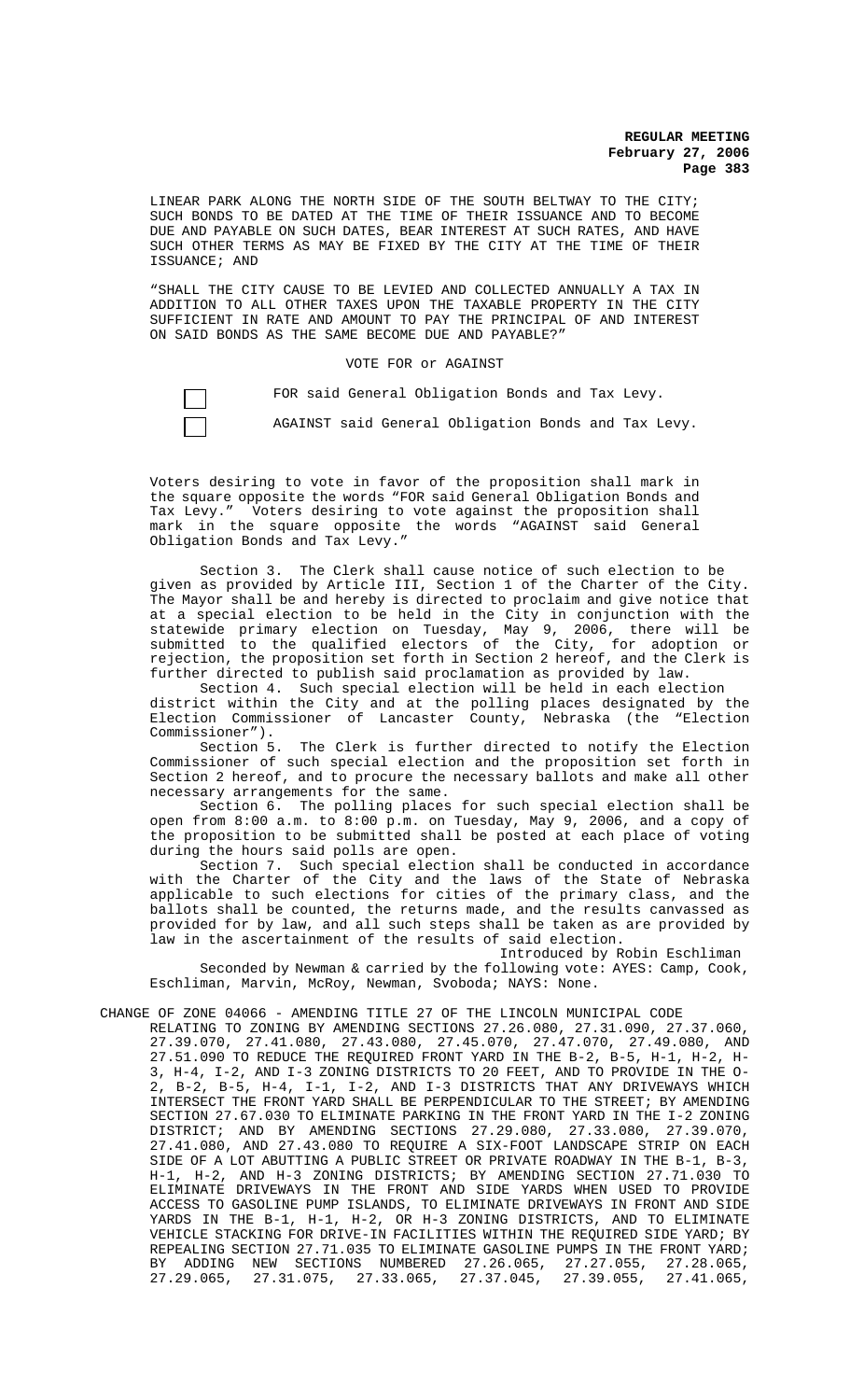LINEAR PARK ALONG THE NORTH SIDE OF THE SOUTH BELTWAY TO THE CITY; SUCH BONDS TO BE DATED AT THE TIME OF THEIR ISSUANCE AND TO BECOME DUE AND PAYABLE ON SUCH DATES, BEAR INTEREST AT SUCH RATES, AND HAVE SUCH OTHER TERMS AS MAY BE FIXED BY THE CITY AT THE TIME OF THEIR ISSUANCE; AND

"SHALL THE CITY CAUSE TO BE LEVIED AND COLLECTED ANNUALLY A TAX IN ADDITION TO ALL OTHER TAXES UPON THE TAXABLE PROPERTY IN THE CITY SUFFICIENT IN RATE AND AMOUNT TO PAY THE PRINCIPAL OF AND INTEREST ON SAID BONDS AS THE SAME BECOME DUE AND PAYABLE?"

VOTE FOR or AGAINST

FOR said General Obligation Bonds and Tax Levy.

AGAINST said General Obligation Bonds and Tax Levy.

Voters desiring to vote in favor of the proposition shall mark in the square opposite the words "FOR said General Obligation Bonds and<br>Tax Levy." Voters desiring to vote against the proposition shall Voters desiring to vote against the proposition shall mark in the square opposite the words "AGAINST said General Obligation Bonds and Tax Levy."

Section 3. The Clerk shall cause notice of such election to be given as provided by Article III, Section 1 of the Charter of the City. The Mayor shall be and hereby is directed to proclaim and give notice that at a special election to be held in the City in conjunction with the statewide primary election on Tuesday, May 9, 2006, there will be submitted to the qualified electors of the City, for adoption or rejection, the proposition set forth in Section 2 hereof, and the Clerk is further directed to publish said proclamation as provided by law.

Section 4. Such special election will be held in each election district within the City and at the polling places designated by the Election Commissioner of Lancaster County, Nebraska (the "Election Commissioner").

Section 5. The Clerk is further directed to notify the Election Commissioner of such special election and the proposition set forth in Section 2 hereof, and to procure the necessary ballots and make all other necessary arrangements for the same.

Section 6. The polling places for such special election shall be open from  $8:00$  a.m. to  $8:00$  p.m. on Tuesday, May 9, 2006, and a copy of the proposition to be submitted shall be posted at each place of voting during the hours said polls are open.

Section 7. Such special election shall be conducted in accordance with the Charter of the City and the laws of the State of Nebraska applicable to such elections for cities of the primary class, and the ballots shall be counted, the returns made, and the results canvassed as provided for by law, and all such steps shall be taken as are provided by law in the ascertainment of the results of said election.

Introduced by Robin Eschliman Seconded by Newman & carried by the following vote: AYES: Camp, Cook, Eschliman, Marvin, McRoy, Newman, Svoboda; NAYS: None.

CHANGE OF ZONE 04066 - AMENDING TITLE 27 OF THE LINCOLN MUNICIPAL CODE

RELATING TO ZONING BY AMENDING SECTIONS 27.26.080, 27.31.090, 27.37.060, 27.39.070, 27.41.080, 27.43.080, 27.45.070, 27.47.070, 27.49.080, AND 27.51.090 TO REDUCE THE REQUIRED FRONT YARD IN THE B-2, B-5, H-1, H-2, H-3, H-4, I-2, AND I-3 ZONING DISTRICTS TO 20 FEET, AND TO PROVIDE IN THE O-2, B-2, B-5, H-4, I-1, I-2, AND I-3 DISTRICTS THAT ANY DRIVEWAYS WHICH INTERSECT THE FRONT YARD SHALL BE PERPENDICULAR TO THE STREET; BY AMENDING SECTION 27.67.030 TO ELIMINATE PARKING IN THE FRONT YARD IN THE I-2 ZONING DISTRICT; AND BY AMENDING SECTIONS 27.29.080, 27.33.080, 27.39.070, 27.41.080, AND 27.43.080 TO REQUIRE A SIX-FOOT LANDSCAPE STRIP ON EACH SIDE OF A LOT ABUTTING A PUBLIC STREET OR PRIVATE ROADWAY IN THE B-1, B-3, H-1, H-2, AND H-3 ZONING DISTRICTS; BY AMENDING SECTION 27.71.030 TO ELIMINATE DRIVEWAYS IN THE FRONT AND SIDE YARDS WHEN USED TO PROVIDE ACCESS TO GASOLINE PUMP ISLANDS, TO ELIMINATE DRIVEWAYS IN FRONT AND SIDE YARDS IN THE B-1, H-1, H-2, OR H-3 ZONING DISTRICTS, AND TO ELIMINATE VEHICLE STACKING FOR DRIVE-IN FACILITIES WITHIN THE REQUIRED SIDE YARD; BY REPEALING SECTION 27.71.035 TO ELIMINATE GASOLINE PUMPS IN THE FRONT YARD; BY ADDING NEW SECTIONS NUMBERED 27.26.065, 27.27.055, 27.28.065, 27.29.065, 27.31.075, 27.33.065, 27.37.045, 27.39.055, 27.41.065,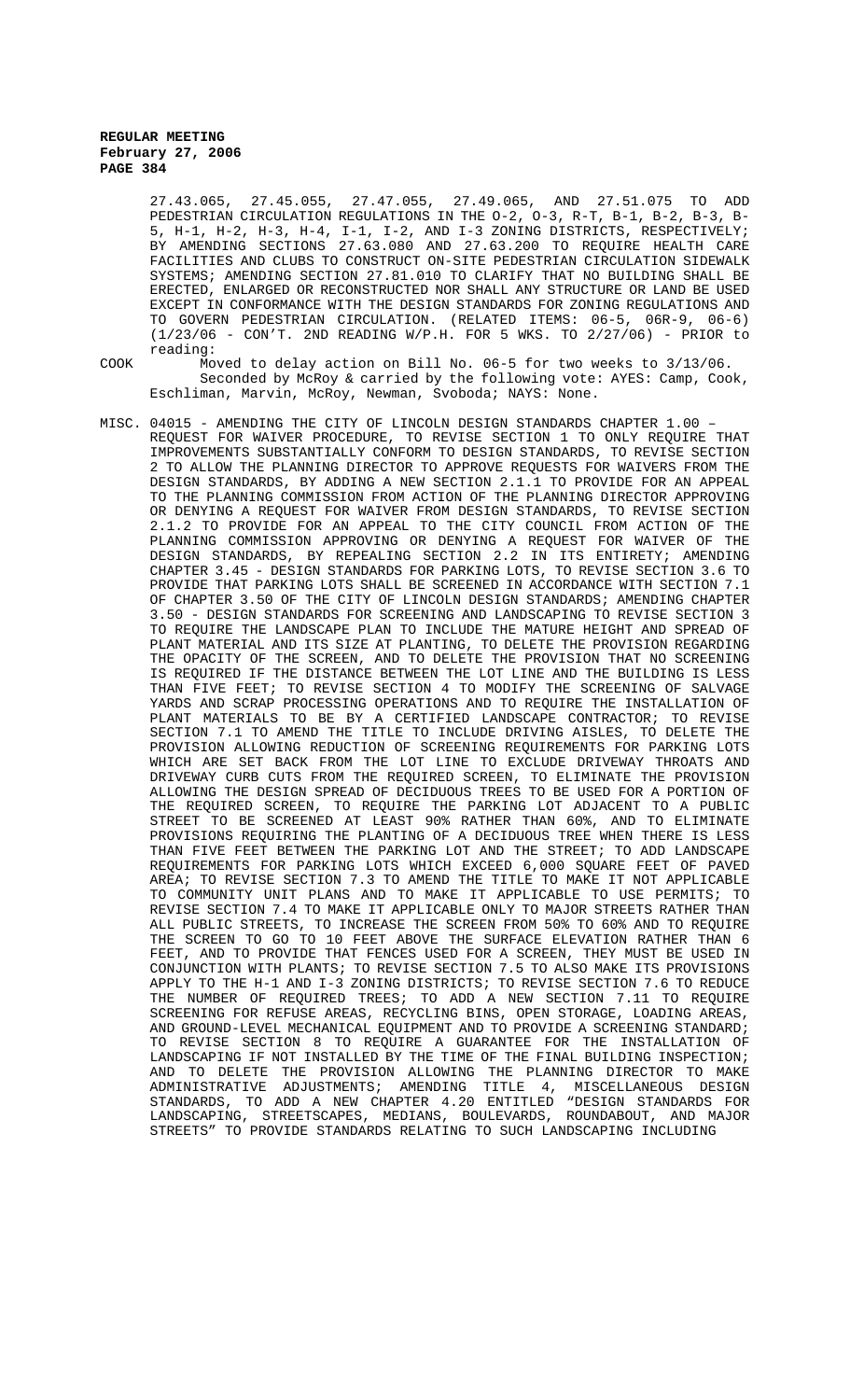27.43.065, 27.45.055, 27.47.055, 27.49.065, AND 27.51.075 TO ADD PEDESTRIAN CIRCULATION REGULATIONS IN THE O-2, O-3, R-T, B-1, B-2, B-3, B-5, H-1, H-2, H-3, H-4, I-1, I-2, AND I-3 ZONING DISTRICTS, RESPECTIVELY; BY AMENDING SECTIONS 27.63.080 AND 27.63.200 TO REQUIRE HEALTH CARE FACILITIES AND CLUBS TO CONSTRUCT ON-SITE PEDESTRIAN CIRCULATION SIDEWALK SYSTEMS; AMENDING SECTION 27.81.010 TO CLARIFY THAT NO BUILDING SHALL BE ERECTED, ENLARGED OR RECONSTRUCTED NOR SHALL ANY STRUCTURE OR LAND BE USED EXCEPT IN CONFORMANCE WITH THE DESIGN STANDARDS FOR ZONING REGULATIONS AND TO GOVERN PEDESTRIAN CIRCULATION. (RELATED ITEMS: 06-5, 06R-9, 06-6) (1/23/06 - CON'T. 2ND READING W/P.H. FOR 5 WKS. TO 2/27/06) - PRIOR to reading:

COOK Moved to delay action on Bill No. 06-5 for two weeks to 3/13/06. Seconded by McRoy & carried by the following vote: AYES: Camp, Cook, Eschliman, Marvin, McRoy, Newman, Svoboda; NAYS: None.

MISC. 04015 - AMENDING THE CITY OF LINCOLN DESIGN STANDARDS CHAPTER 1.00 – REQUEST FOR WAIVER PROCEDURE, TO REVISE SECTION 1 TO ONLY REQUIRE THAT IMPROVEMENTS SUBSTANTIALLY CONFORM TO DESIGN STANDARDS, TO REVISE SECTION 2 TO ALLOW THE PLANNING DIRECTOR TO APPROVE REQUESTS FOR WAIVERS FROM THE DESIGN STANDARDS, BY ADDING A NEW SECTION 2.1.1 TO PROVIDE FOR AN APPEAL TO THE PLANNING COMMISSION FROM ACTION OF THE PLANNING DIRECTOR APPROVING OR DENYING A REQUEST FOR WAIVER FROM DESIGN STANDARDS, TO REVISE SECTION 2.1.2 TO PROVIDE FOR AN APPEAL TO THE CITY COUNCIL FROM ACTION OF THE PLANNING COMMISSION APPROVING OR DENYING A REQUEST FOR WAIVER OF THE DESIGN STANDARDS, BY REPEALING SECTION 2.2 IN ITS ENTIRETY; AMENDING CHAPTER 3.45 - DESIGN STANDARDS FOR PARKING LOTS, TO REVISE SECTION 3.6 TO PROVIDE THAT PARKING LOTS SHALL BE SCREENED IN ACCORDANCE WITH SECTION 7.1 OF CHAPTER 3.50 OF THE CITY OF LINCOLN DESIGN STANDARDS; AMENDING CHAPTER 3.50 - DESIGN STANDARDS FOR SCREENING AND LANDSCAPING TO REVISE SECTION 3 TO REQUIRE THE LANDSCAPE PLAN TO INCLUDE THE MATURE HEIGHT AND SPREAD OF PLANT MATERIAL AND ITS SIZE AT PLANTING, TO DELETE THE PROVISION REGARDING THE OPACITY OF THE SCREEN, AND TO DELETE THE PROVISION THAT NO SCREENING IS REQUIRED IF THE DISTANCE BETWEEN THE LOT LINE AND THE BUILDING IS LESS THAN FIVE FEET; TO REVISE SECTION 4 TO MODIFY THE SCREENING OF SALVAGE YARDS AND SCRAP PROCESSING OPERATIONS AND TO REQUIRE THE INSTALLATION OF PLANT MATERIALS TO BE BY A CERTIFIED LANDSCAPE CONTRACTOR; TO REVISE SECTION 7.1 TO AMEND THE TITLE TO INCLUDE DRIVING AISLES, TO DELETE THE PROVISION ALLOWING REDUCTION OF SCREENING REQUIREMENTS FOR PARKING LOTS WHICH ARE SET BACK FROM THE LOT LINE TO EXCLUDE DRIVEWAY THROATS AND DRIVEWAY CURB CUTS FROM THE REQUIRED SCREEN, TO ELIMINATE THE PROVISION ALLOWING THE DESIGN SPREAD OF DECIDUOUS TREES TO BE USED FOR A PORTION OF THE REQUIRED SCREEN, TO REQUIRE THE PARKING LOT ADJACENT TO A PUBLIC<br>STREET TO BE SCREENED AT LEAST 90% RATHER THAN 60%, AND TO ELIMINATE TO BE SCREENED AT LEAST 90% RATHER THAN 60%, AND TO ELIMINATE PROVISIONS REQUIRING THE PLANTING OF A DECIDUOUS TREE WHEN THERE IS LESS THAN FIVE FEET BETWEEN THE PARKING LOT AND THE STREET; TO ADD LANDSCAPE REQUIREMENTS FOR PARKING LOTS WHICH EXCEED 6,000 SQUARE FEET OF PAVED AREA; TO REVISE SECTION 7.3 TO AMEND THE TITLE TO MAKE IT NOT APPLICABLE TO COMMUNITY UNIT PLANS AND TO MAKE IT APPLICABLE TO USE PERMITS; TO REVISE SECTION 7.4 TO MAKE IT APPLICABLE ONLY TO MAJOR STREETS RATHER THAN ALL PUBLIC STREETS, TO INCREASE THE SCREEN FROM 50% TO 60% AND TO REQUIRE THE SCREEN TO GO TO 10 FEET ABOVE THE SURFACE ELEVATION RATHER THAN 6 FEET, AND TO PROVIDE THAT FENCES USED FOR A SCREEN, THEY MUST BE USED IN CONJUNCTION WITH PLANTS; TO REVISE SECTION 7.5 TO ALSO MAKE ITS PROVISIONS APPLY TO THE H-1 AND I-3 ZONING DISTRICTS; TO REVISE SECTION 7.6 TO REDUCE<br>THE NUMBER OF REOUIRED TREES; TO ADD A NEW SECTION 7.11 TO REOUIRE THE NUMBER OF REQUIRED TREES; TO ADD A NEW SECTION 7.11 SCREENING FOR REFUSE AREAS, RECYCLING BINS, OPEN STORAGE, LOADING AREAS, AND GROUND-LEVEL MECHANICAL EQUIPMENT AND TO PROVIDE A SCREENING STANDARD; TO REVISE SECTION 8 TO REQUIRE A GUARANTEE FOR THE INSTALLATION OF LANDSCAPING IF NOT INSTALLED BY THE TIME OF THE FINAL BUILDING INSPECTION; AND TO DELETE THE PROVISION ALLOWING THE PLANNING DIRECTOR TO MAKE ADMINISTRATIVE ADJUSTMENTS; AMENDING TITLE 4, MISCELLANEOUS DESIGN STANDARDS, TO ADD A NEW CHAPTER 4.20 ENTITLED "DESIGN STANDARDS FOR LANDSCAPING, STREETSCAPES, MEDIANS, BOULEVARDS, ROUNDABOUT, AND MAJOR STREETS" TO PROVIDE STANDARDS RELATING TO SUCH LANDSCAPING INCLUDING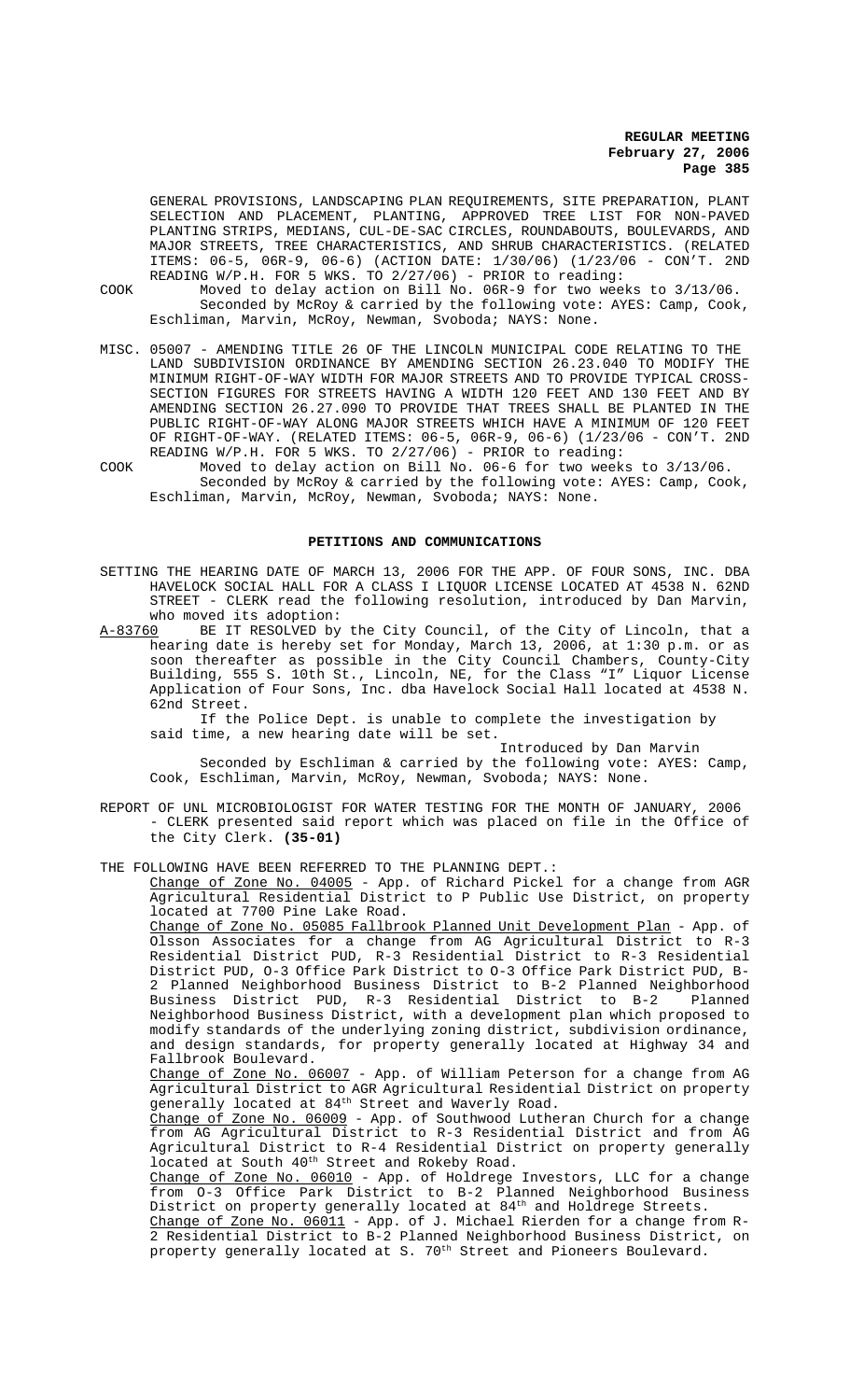GENERAL PROVISIONS, LANDSCAPING PLAN REQUIREMENTS, SITE PREPARATION, PLANT SELECTION AND PLACEMENT, PLANTING, APPROVED TREE LIST FOR NON-PAVED PLANTING STRIPS, MEDIANS, CUL-DE-SAC CIRCLES, ROUNDABOUTS, BOULEVARDS, AND MAJOR STREETS, TREE CHARACTERISTICS, AND SHRUB CHARACTERISTICS. (RELATED ITEMS: 06-5, 06R-9, 06-6) (ACTION DATE: 1/30/06) (1/23/06 - CON'T. 2ND READING W/P.H. FOR 5 WKS. TO 2/27/06) - PRIOR to reading:

- COOK Moved to delay action on Bill No. 06R-9 for two weeks to 3/13/06. Seconded by McRoy & carried by the following vote: AYES: Camp, Cook, Eschliman, Marvin, McRoy, Newman, Svoboda; NAYS: None.
- MISC. 05007 AMENDING TITLE 26 OF THE LINCOLN MUNICIPAL CODE RELATING TO THE LAND SUBDIVISION ORDINANCE BY AMENDING SECTION 26.23.040 TO MODIFY THE MINIMUM RIGHT-OF-WAY WIDTH FOR MAJOR STREETS AND TO PROVIDE TYPICAL CROSS-SECTION FIGURES FOR STREETS HAVING A WIDTH 120 FEET AND 130 FEET AND BY AMENDING SECTION 26.27.090 TO PROVIDE THAT TREES SHALL BE PLANTED IN THE PUBLIC RIGHT-OF-WAY ALONG MAJOR STREETS WHICH HAVE A MINIMUM OF 120 FEET OF RIGHT-OF-WAY. (RELATED ITEMS: 06-5, 06R-9, 06-6) (1/23/06 - CON'T. 2ND READING W/P.H. FOR 5 WKS. TO 2/27/06) - PRIOR to reading:
- COOK Moved to delay action on Bill No. 06-6 for two weeks to 3/13/06. Seconded by McRoy & carried by the following vote: AYES: Camp, Cook, Eschliman, Marvin, McRoy, Newman, Svoboda; NAYS: None.

#### **PETITIONS AND COMMUNICATIONS**

- SETTING THE HEARING DATE OF MARCH 13, 2006 FOR THE APP. OF FOUR SONS, INC. DBA HAVELOCK SOCIAL HALL FOR A CLASS I LIQUOR LICENSE LOCATED AT 4538 N. 62ND STREET - CLERK read the following resolution, introduced by Dan Marvin, who moved its adoption:<br>A-83760 BE IT RESOLVED by
- BE IT RESOLVED by the City Council, of the City of Lincoln, that a hearing date is hereby set for Monday, March 13, 2006, at 1:30 p.m. or as soon thereafter as possible in the City Council Chambers, County-City Building, 555 S. 10th St., Lincoln, NE, for the Class "I" Liquor License Application of Four Sons, Inc. dba Havelock Social Hall located at 4538 N. 62nd Street.

 If the Police Dept. is unable to complete the investigation by said time, a new hearing date will be set.

Introduced by Dan Marvin Seconded by Eschliman & carried by the following vote: AYES: Camp, Cook, Eschliman, Marvin, McRoy, Newman, Svoboda; NAYS: None.

REPORT OF UNL MICROBIOLOGIST FOR WATER TESTING FOR THE MONTH OF JANUARY, 2006 - CLERK presented said report which was placed on file in the Office of the City Clerk. **(35-01)**

THE FOLLOWING HAVE BEEN REFERRED TO THE PLANNING DEPT. :

Change of Zone No. 04005 - App. of Richard Pickel for a change from AGR Agricultural Residential District to P Public Use District, on property located at 7700 Pine Lake Road.

Change of Zone No. 05085 Fallbrook Planned Unit Development Plan - App. of Olsson Associates for a change from AG Agricultural District to R-3 Residential District PUD, R-3 Residential District to R-3 Residential District PUD, O-3 Office Park District to O-3 Office Park District PUD, B-2 Planned Neighborhood Business District to B-2 Planned Neighborhood Business District PUD, R-3 Residential District to B-2 Planned Neighborhood Business District, with a development plan which proposed to modify standards of the underlying zoning district, subdivision ordinance, and design standards, for property generally located at Highway 34 and Fallbrook Boulevard.

Change of Zone No. 06007 - App. of William Peterson for a change from AG Agricultural District to AGR Agricultural Residential District on property generally located at  $84<sup>th</sup>$  Street and Waverly Road.

Change of Zone No. 06009 - App. of Southwood Lutheran Church for a change from AG Agricultural District to R-3 Residential District and from AG Agricultural District to R-4 Residential District on property generally located at South 40<sup>th</sup> Street and Rokeby Road.

<u>Change of Zone No. 06010</u> - App. of Holdrege Investors, LLC for a change from O-3 Office Park District to B-2 Planned Neighborhood Business District on property generally located at 84th and Holdrege Streets.

Change of Zone No. 06011 - App. of J. Michael Rierden for a change from R-2 Residential District to B-2 Planned Neighborhood Business District, on property generally located at S. 70<sup>th</sup> Street and Pioneers Boulevard.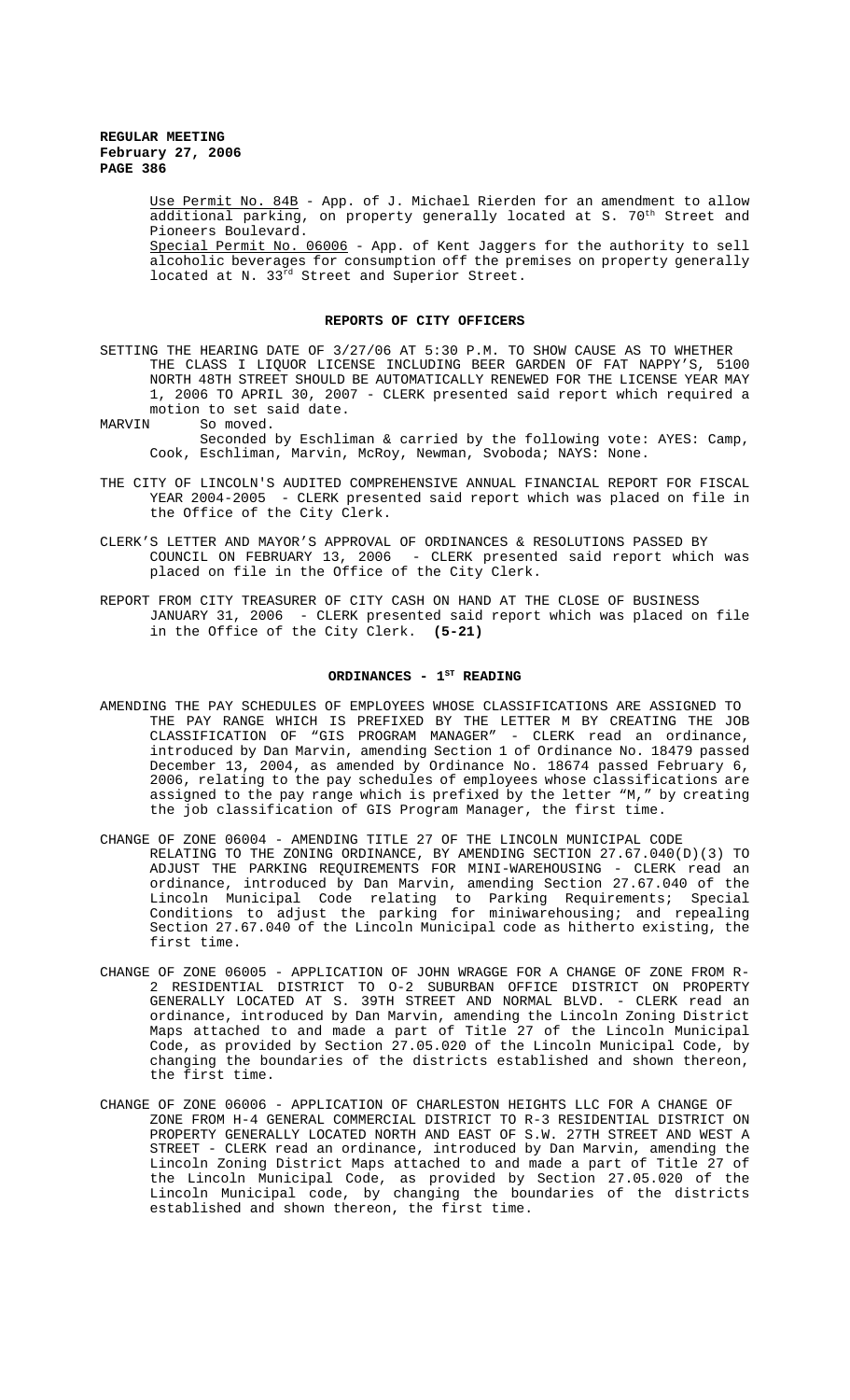> Use Permit No. 84B - App. of J. Michael Rierden for an amendment to allow additional parking, on property generally located at S. 70<sup>th</sup> Street and Pioneers Boulevard.

> Special Permit No. 06006 - App. of Kent Jaggers for the authority to sell alcoholic beverages for consumption off the premises on property generally located at N. 33<sup>rd</sup> Street and Superior Street.

#### **REPORTS OF CITY OFFICERS**

SETTING THE HEARING DATE OF 3/27/06 AT 5:30 P.M. TO SHOW CAUSE AS TO WHETHER THE CLASS I LIQUOR LICENSE INCLUDING BEER GARDEN OF FAT NAPPY'S, 5100 NORTH 48TH STREET SHOULD BE AUTOMATICALLY RENEWED FOR THE LICENSE YEAR MAY 1, 2006 TO APRIL 30, 2007 - CLERK presented said report which required a motion to set said date.<br>MARVIN So moved.

So moved.

Seconded by Eschliman & carried by the following vote: AYES: Camp, Cook, Eschliman, Marvin, McRoy, Newman, Svoboda; NAYS: None.

- THE CITY OF LINCOLN'S AUDITED COMPREHENSIVE ANNUAL FINANCIAL REPORT FOR FISCAL YEAR 2004-2005 - CLERK presented said report which was placed on file in the Office of the City Clerk.
- CLERK'S LETTER AND MAYOR'S APPROVAL OF ORDINANCES & RESOLUTIONS PASSED BY COUNCIL ON FEBRUARY 13, 2006 - CLERK presented said report which was placed on file in the Office of the City Clerk.
- REPORT FROM CITY TREASURER OF CITY CASH ON HAND AT THE CLOSE OF BUSINESS JANUARY 31, 2006 - CLERK presented said report which was placed on file in the Office of the City Clerk. **(5-21)**

#### ORDINANCES - 1<sup>ST</sup> READING

- AMENDING THE PAY SCHEDULES OF EMPLOYEES WHOSE CLASSIFICATIONS ARE ASSIGNED TO THE PAY RANGE WHICH IS PREFIXED BY THE LETTER M BY CREATING THE JOB CLASSIFICATION OF "GIS PROGRAM MANAGER" - CLERK read an ordinance, introduced by Dan Marvin, amending Section 1 of Ordinance No. 18479 passed December 13, 2004, as amended by Ordinance No. 18674 passed February 6, 2006, relating to the pay schedules of employees whose classifications are assigned to the pay range which is prefixed by the letter "M," by creating the job classification of GIS Program Manager, the first time.
- CHANGE OF ZONE 06004 AMENDING TITLE 27 OF THE LINCOLN MUNICIPAL CODE RELATING TO THE ZONING ORDINANCE, BY AMENDING SECTION 27.67.040(D)(3) TO ADJUST THE PARKING REQUIREMENTS FOR MINI-WAREHOUSING - CLERK read an ordinance, introduced by Dan Marvin, amending Section 27.67.040 of the Lincoln Municipal Code relating to Parking Requirements; Special Conditions to adjust the parking for miniwarehousing; and repealing Section 27.67.040 of the Lincoln Municipal code as hitherto existing, the first time.
- CHANGE OF ZONE 06005 APPLICATION OF JOHN WRAGGE FOR A CHANGE OF ZONE FROM R-2 RESIDENTIAL DISTRICT TO O-2 SUBURBAN OFFICE DISTRICT ON PROPERTY GENERALLY LOCATED AT S. 39TH STREET AND NORMAL BLVD. - CLERK read an ordinance, introduced by Dan Marvin, amending the Lincoln Zoning District Maps attached to and made a part of Title 27 of the Lincoln Municipal Code, as provided by Section 27.05.020 of the Lincoln Municipal Code, by changing the boundaries of the districts established and shown thereon, the first time.
- CHANGE OF ZONE 06006 APPLICATION OF CHARLESTON HEIGHTS LLC FOR A CHANGE OF ZONE FROM H-4 GENERAL COMMERCIAL DISTRICT TO R-3 RESIDENTIAL DISTRICT ON PROPERTY GENERALLY LOCATED NORTH AND EAST OF S.W. 27TH STREET AND WEST A STREET - CLERK read an ordinance, introduced by Dan Marvin, amending the Lincoln Zoning District Maps attached to and made a part of Title 27 of the Lincoln Municipal Code, as provided by Section 27.05.020 of the Lincoln Municipal code, by changing the boundaries of the districts established and shown thereon, the first time.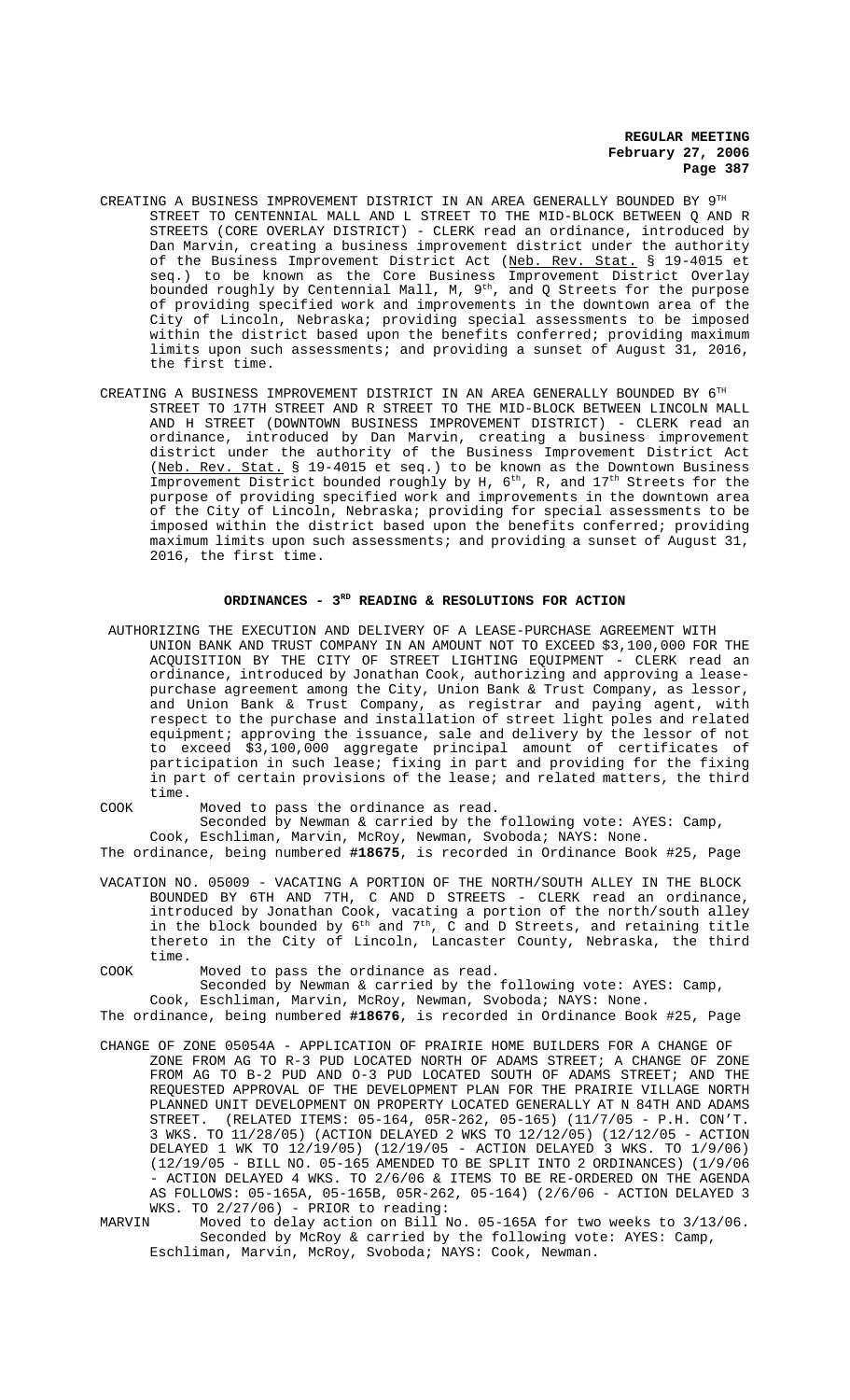- CREATING A BUSINESS IMPROVEMENT DISTRICT IN AN AREA GENERALLY BOUNDED BY 9TH STREET TO CENTENNIAL MALL AND L STREET TO THE MID-BLOCK BETWEEN Q AND R STREETS (CORE OVERLAY DISTRICT) - CLERK read an ordinance, introduced by Dan Marvin, creating a business improvement district under the authority of the Business Improvement District Act (Neb. Rev. Stat. § 19-4015 et seq.) to be known as the Core Business Improvement District Overlay bounded roughly by Centennial Mall, M,  $9^\text{th}$ , and Q Streets for the purpose of providing specified work and improvements in the downtown area of the City of Lincoln, Nebraska; providing special assessments to be imposed within the district based upon the benefits conferred; providing maximum limits upon such assessments; and providing a sunset of August 31, 2016, the first time.
- CREATING A BUSINESS IMPROVEMENT DISTRICT IN AN AREA GENERALLY BOUNDED BY  $6^{\text{\tiny{TH}}}$ STREET TO 17TH STREET AND R STREET TO THE MID-BLOCK BETWEEN LINCOLN MALL AND H STREET (DOWNTOWN BUSINESS IMPROVEMENT DISTRICT) - CLERK read an ordinance, introduced by Dan Marvin, creating a business improvement district under the authority of the Business Improvement District Act (Neb. Rev. Stat. § 19-4015 et seq.) to be known as the Downtown Business Improvement District bounded roughly by H, 6<sup>th</sup>, R, and 17<sup>th</sup> Streets for the purpose of providing specified work and improvements in the downtown area of the City of Lincoln, Nebraska; providing for special assessments to be imposed within the district based upon the benefits conferred; providing maximum limits upon such assessments; and providing a sunset of August 31, 2016, the first time.

#### ORDINANCES - 3<sup>RD</sup> READING & RESOLUTIONS FOR ACTION

- AUTHORIZING THE EXECUTION AND DELIVERY OF A LEASE-PURCHASE AGREEMENT WITH UNION BANK AND TRUST COMPANY IN AN AMOUNT NOT TO EXCEED \$3,100,000 FOR THE ACQUISITION BY THE CITY OF STREET LIGHTING EQUIPMENT - CLERK read an ordinance, introduced by Jonathan Cook, authorizing and approving a leasepurchase agreement among the City, Union Bank & Trust Company, as lessor, and Union Bank & Trust Company, as registrar and paying agent, with respect to the purchase and installation of street light poles and related equipment; approving the issuance, sale and delivery by the lessor of not to exceed \$3,100,000 aggregate principal amount of certificates of participation in such lease; fixing in part and providing for the fixing in part of certain provisions of the lease; and related matters, the third time.
- COOK Moved to pass the ordinance as read. Seconded by Newman & carried by the following vote: AYES: Camp, Cook, Eschliman, Marvin, McRoy, Newman, Svoboda; NAYS: None.

The ordinance, being numbered **#18675**, is recorded in Ordinance Book #25, Page

- VACATION NO. 05009 VACATING A PORTION OF THE NORTH/SOUTH ALLEY IN THE BLOCK BOUNDED BY 6TH AND 7TH, C AND D STREETS - CLERK read an ordinance, introduced by Jonathan Cook, vacating a portion of the north/south alley in the block bounded by  $6^{\text{th}}$  and  $7^{\text{th}}$ , C and D Streets, and retaining title thereto in the City of Lincoln, Lancaster County, Nebraska, the third time.
- COOK Moved to pass the ordinance as read.

Seconded by Newman & carried by the following vote: AYES: Camp, Cook, Eschliman, Marvin, McRoy, Newman, Svoboda; NAYS: None.

The ordinance, being numbered **#18676**, is recorded in Ordinance Book #25, Page

- CHANGE OF ZONE 05054A APPLICATION OF PRAIRIE HOME BUILDERS FOR A CHANGE OF ZONE FROM AG TO R-3 PUD LOCATED NORTH OF ADAMS STREET; A CHANGE OF ZONE FROM AG TO B-2 PUD AND O-3 PUD LOCATED SOUTH OF ADAMS STREET; AND THE REQUESTED APPROVAL OF THE DEVELOPMENT PLAN FOR THE PRAIRIE VILLAGE NORTH PLANNED UNIT DEVELOPMENT ON PROPERTY LOCATED GENERALLY AT N 84TH AND ADAMS STREET. (RELATED ITEMS: 05-164, 05R-262, 05-165) (11/7/05 - P.H. CON'T. 3 WKS. TO 11/28/05) (ACTION DELAYED 2 WKS TO 12/12/05) (12/12/05 - ACTION DELAYED 1 WK TO 12/19/05) (12/19/05 - ACTION DELAYED 3 WKS. TO 1/9/06) (12/19/05 - BILL NO. 05-165 AMENDED TO BE SPLIT INTO 2 ORDINANCES) (1/9/06 - ACTION DELAYED 4 WKS. TO 2/6/06 & ITEMS TO BE RE-ORDERED ON THE AGENDA AS FOLLOWS: 05-165A, 05-165B, 05R-262, 05-164) (2/6/06 - ACTION DELAYED 3 WKS. TO 2/27/06) - PRIOR to reading:<br>MARVIN Moved to delay action on Bill I
- Moved to delay action on Bill No. 05-165A for two weeks to 3/13/06. Seconded by McRoy & carried by the following vote: AYES: Camp, Eschliman, Marvin, McRoy, Svoboda; NAYS: Cook, Newman.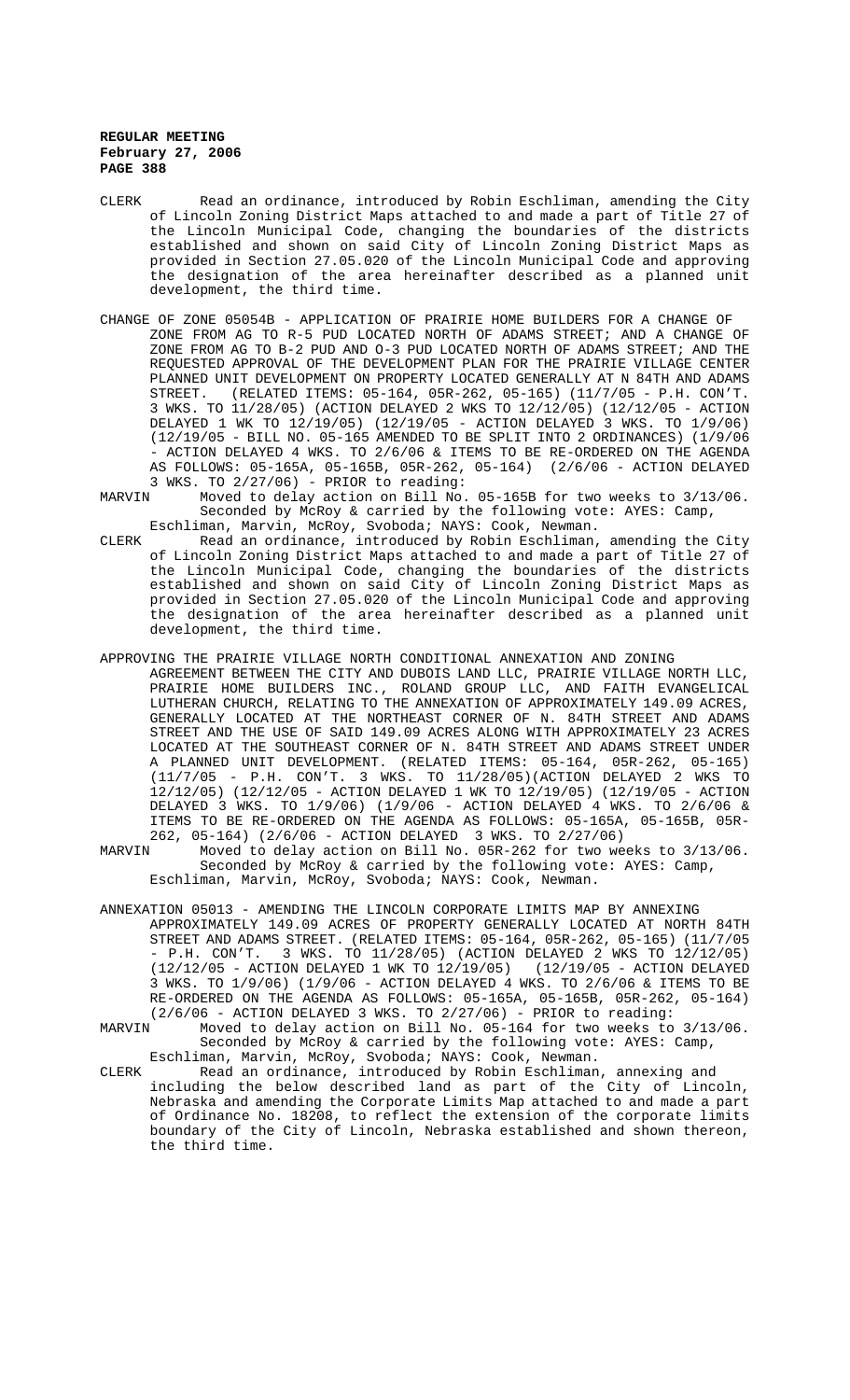- CLERK Read an ordinance, introduced by Robin Eschliman, amending the City of Lincoln Zoning District Maps attached to and made a part of Title 27 of the Lincoln Municipal Code, changing the boundaries of the districts established and shown on said City of Lincoln Zoning District Maps as provided in Section 27.05.020 of the Lincoln Municipal Code and approving the designation of the area hereinafter described as a planned unit development, the third time.
- CHANGE OF ZONE 05054B APPLICATION OF PRAIRIE HOME BUILDERS FOR A CHANGE OF ZONE FROM AG TO R-5 PUD LOCATED NORTH OF ADAMS STREET; AND A CHANGE OF ZONE FROM AG TO B-2 PUD AND O-3 PUD LOCATED NORTH OF ADAMS STREET; AND THE REQUESTED APPROVAL OF THE DEVELOPMENT PLAN FOR THE PRAIRIE VILLAGE CENTER PLANNED UNIT DEVELOPMENT ON PROPERTY LOCATED GENERALLY AT N 84TH AND ADAMS STREET. (RELATED ITEMS: 05-164, 05R-262, 05-165) (11/7/05 - P.H. CON'T. 3 WKS. TO 11/28/05) (ACTION DELAYED 2 WKS TO 12/12/05) (12/12/05 - ACTION DELAYED 1 WK TO 12/19/05) (12/19/05 - ACTION DELAYED 3 WKS. TO 1/9/06) (12/19/05 - BILL NO. 05-165 AMENDED TO BE SPLIT INTO 2 ORDINANCES) (1/9/06 - ACTION DELAYED 4 WKS. TO 2/6/06 & ITEMS TO BE RE-ORDERED ON THE AGENDA AS FOLLOWS: 05-165A, 05-165B, 05R-262, 05-164) (2/6/06 - ACTION DELAYED 3 WKS. TO 2/27/06) - PRIOR to reading:
- MARVIN Moved to delay action on Bill No. 05-165B for two weeks to 3/13/06. Seconded by McRoy & carried by the following vote: AYES: Camp, Eschliman, Marvin, McRoy, Svoboda; NAYS: Cook, Newman.
- CLERK Read an ordinance, introduced by Robin Eschliman, amending the City of Lincoln Zoning District Maps attached to and made a part of Title 27 of the Lincoln Municipal Code, changing the boundaries of the districts established and shown on said City of Lincoln Zoning District Maps as provided in Section 27.05.020 of the Lincoln Municipal Code and approving the designation of the area hereinafter described as a planned unit development, the third time.
- APPROVING THE PRAIRIE VILLAGE NORTH CONDITIONAL ANNEXATION AND ZONING AGREEMENT BETWEEN THE CITY AND DUBOIS LAND LLC, PRAIRIE VILLAGE NORTH LLC, PRAIRIE HOME BUILDERS INC., ROLAND GROUP LLC, AND FAITH EVANGELICAL LUTHERAN CHURCH, RELATING TO THE ANNEXATION OF APPROXIMATELY 149.09 ACRES, GENERALLY LOCATED AT THE NORTHEAST CORNER OF N. 84TH STREET AND ADAMS STREET AND THE USE OF SAID 149.09 ACRES ALONG WITH APPROXIMATELY 23 ACRES LOCATED AT THE SOUTHEAST CORNER OF N. 84TH STREET AND ADAMS STREET UNDER A PLANNED UNIT DEVELOPMENT. (RELATED ITEMS: 05-164, 05R-262, 05-165) (11/7/05 - P.H. CON'T. 3 WKS. TO 11/28/05)(ACTION DELAYED 2 WKS TO 12/12/05) (12/12/05 - ACTION DELAYED 1 WK TO 12/19/05) (12/19/05 - ACTION DELAYED 3 WKS. TO 1/9/06) (1/9/06 - ACTION DELAYED 4 WKS. TO 2/6/06 & ITEMS TO BE RE-ORDERED ON THE AGENDA AS FOLLOWS: 05-165A, 05-165B, 05R-262, 05-164) (2/6/06 - ACTION DELAYED 3 WKS. TO 2/27/06)
- MARVIN Moved to delay action on Bill No. 05R-262 for two weeks to 3/13/06. Seconded by McRoy & carried by the following vote: AYES: Camp, Eschliman, Marvin, McRoy, Svoboda; NAYS: Cook, Newman.
- ANNEXATION 05013 AMENDING THE LINCOLN CORPORATE LIMITS MAP BY ANNEXING APPROXIMATELY 149.09 ACRES OF PROPERTY GENERALLY LOCATED AT NORTH 84TH STREET AND ADAMS STREET. (RELATED ITEMS: 05-164, 05R-262, 05-165) (11/7/05 - P.H. CON'T. 3 WKS. TO 11/28/05) (ACTION DELAYED 2 WKS TO 12/12/05) (12/12/05 - ACTION DELAYED 1 WK TO 12/19/05) (12/19/05 - ACTION DELAYED 3 WKS. TO 1/9/06) (1/9/06 - ACTION DELAYED 4 WKS. TO 2/6/06 & ITEMS TO BE RE-ORDERED ON THE AGENDA AS FOLLOWS: 05-165A, 05-165B, 05R-262, 05-164) (2/6/06 - ACTION DELAYED 3 WKS. TO 2/27/06) - PRIOR to reading:
- MARVIN Moved to delay action on Bill No. 05-164 for two weeks to 3/13/06. Seconded by McRoy & carried by the following vote: AYES: Camp, Eschliman, Marvin, McRoy, Svoboda; NAYS: Cook, Newman.
- CLERK Read an ordinance, introduced by Robin Eschliman, annexing and including the below described land as part of the City of Lincoln, Nebraska and amending the Corporate Limits Map attached to and made a part of Ordinance No. 18208, to reflect the extension of the corporate limits boundary of the City of Lincoln, Nebraska established and shown thereon, the third time.